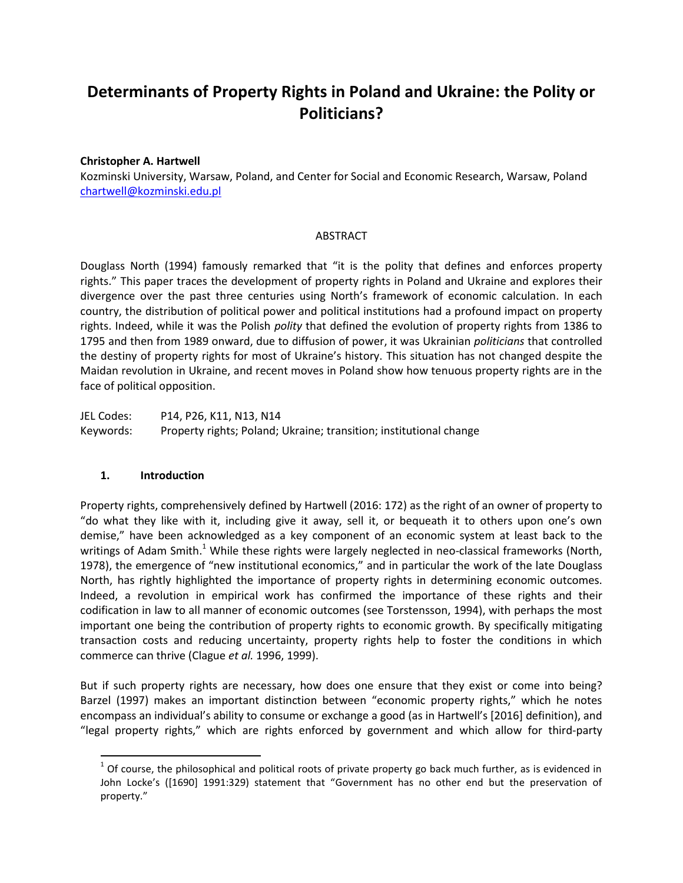# **Determinants of Property Rights in Poland and Ukraine: the Polity or Politicians?**

## **Christopher A. Hartwell**

Kozminski University, Warsaw, Poland, and Center for Social and Economic Research, Warsaw, Poland [chartwell@kozminski.edu.pl](mailto:chartwell@kozminski.edu.pl)

### ABSTRACT

Douglass North (1994) famously remarked that "it is the polity that defines and enforces property rights." This paper traces the development of property rights in Poland and Ukraine and explores their divergence over the past three centuries using North's framework of economic calculation. In each country, the distribution of political power and political institutions had a profound impact on property rights. Indeed, while it was the Polish *polity* that defined the evolution of property rights from 1386 to 1795 and then from 1989 onward, due to diffusion of power, it was Ukrainian *politicians* that controlled the destiny of property rights for most of Ukraine's history. This situation has not changed despite the Maidan revolution in Ukraine, and recent moves in Poland show how tenuous property rights are in the face of political opposition.

JEL Codes: P14, P26, K11, N13, N14 Keywords: Property rights; Poland; Ukraine; transition; institutional change

### **1. Introduction**

Property rights, comprehensively defined by Hartwell (2016: 172) as the right of an owner of property to "do what they like with it, including give it away, sell it, or bequeath it to others upon one's own demise," have been acknowledged as a key component of an economic system at least back to the writings of Adam Smith.<sup>1</sup> While these rights were largely neglected in neo-classical frameworks (North, 1978), the emergence of "new institutional economics," and in particular the work of the late Douglass North, has rightly highlighted the importance of property rights in determining economic outcomes. Indeed, a revolution in empirical work has confirmed the importance of these rights and their codification in law to all manner of economic outcomes (see Torstensson, 1994), with perhaps the most important one being the contribution of property rights to economic growth. By specifically mitigating transaction costs and reducing uncertainty, property rights help to foster the conditions in which commerce can thrive (Clague *et al.* 1996, 1999).

But if such property rights are necessary, how does one ensure that they exist or come into being? Barzel (1997) makes an important distinction between "economic property rights," which he notes encompass an individual's ability to consume or exchange a good (as in Hartwell's [2016] definition), and "legal property rights," which are rights enforced by government and which allow for third-party

 $\overline{\phantom{a}}$  $1$  Of course, the philosophical and political roots of private property go back much further, as is evidenced in John Locke's ([1690] 1991:329) statement that "Government has no other end but the preservation of property."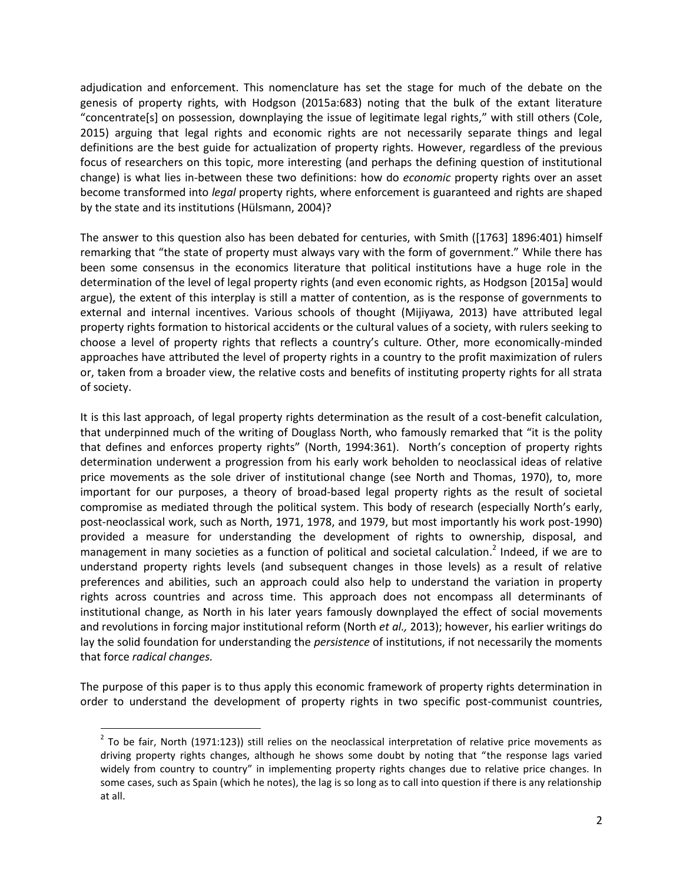adjudication and enforcement. This nomenclature has set the stage for much of the debate on the genesis of property rights, with Hodgson (2015a:683) noting that the bulk of the extant literature "concentrate[s] on possession, downplaying the issue of legitimate legal rights," with still others (Cole, 2015) arguing that legal rights and economic rights are not necessarily separate things and legal definitions are the best guide for actualization of property rights. However, regardless of the previous focus of researchers on this topic, more interesting (and perhaps the defining question of institutional change) is what lies in-between these two definitions: how do *economic* property rights over an asset become transformed into *legal* property rights, where enforcement is guaranteed and rights are shaped by the state and its institutions (Hülsmann, 2004)?

The answer to this question also has been debated for centuries, with Smith ([1763] 1896:401) himself remarking that "the state of property must always vary with the form of government." While there has been some consensus in the economics literature that political institutions have a huge role in the determination of the level of legal property rights (and even economic rights, as Hodgson [2015a] would argue), the extent of this interplay is still a matter of contention, as is the response of governments to external and internal incentives. Various schools of thought (Mijiyawa, 2013) have attributed legal property rights formation to historical accidents or the cultural values of a society, with rulers seeking to choose a level of property rights that reflects a country's culture. Other, more economically-minded approaches have attributed the level of property rights in a country to the profit maximization of rulers or, taken from a broader view, the relative costs and benefits of instituting property rights for all strata of society.

It is this last approach, of legal property rights determination as the result of a cost-benefit calculation, that underpinned much of the writing of Douglass North, who famously remarked that "it is the polity that defines and enforces property rights" (North, 1994:361). North's conception of property rights determination underwent a progression from his early work beholden to neoclassical ideas of relative price movements as the sole driver of institutional change (see North and Thomas, 1970), to, more important for our purposes, a theory of broad-based legal property rights as the result of societal compromise as mediated through the political system. This body of research (especially North's early, post-neoclassical work, such as North, 1971, 1978, and 1979, but most importantly his work post-1990) provided a measure for understanding the development of rights to ownership, disposal, and management in many societies as a function of political and societal calculation.<sup>2</sup> Indeed, if we are to understand property rights levels (and subsequent changes in those levels) as a result of relative preferences and abilities, such an approach could also help to understand the variation in property rights across countries and across time. This approach does not encompass all determinants of institutional change, as North in his later years famously downplayed the effect of social movements and revolutions in forcing major institutional reform (North *et al.,* 2013); however, his earlier writings do lay the solid foundation for understanding the *persistence* of institutions, if not necessarily the moments that force *radical changes.*

The purpose of this paper is to thus apply this economic framework of property rights determination in order to understand the development of property rights in two specific post-communist countries,

l

 $2$  To be fair, North (1971:123)) still relies on the neoclassical interpretation of relative price movements as driving property rights changes, although he shows some doubt by noting that "the response lags varied widely from country to country" in implementing property rights changes due to relative price changes. In some cases, such as Spain (which he notes), the lag is so long as to call into question if there is any relationship at all.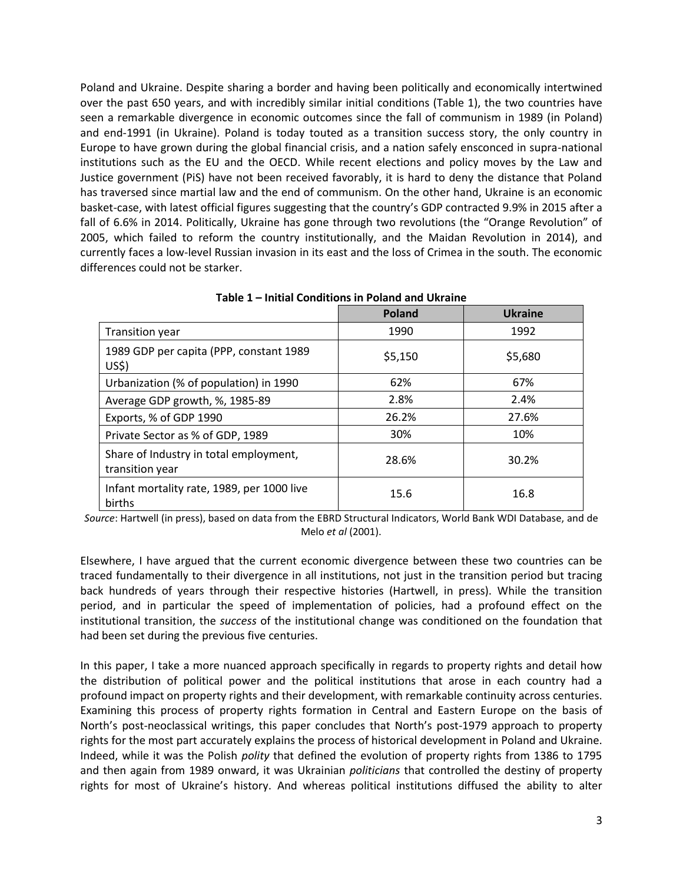Poland and Ukraine. Despite sharing a border and having been politically and economically intertwined over the past 650 years, and with incredibly similar initial conditions (Table 1), the two countries have seen a remarkable divergence in economic outcomes since the fall of communism in 1989 (in Poland) and end-1991 (in Ukraine). Poland is today touted as a transition success story, the only country in Europe to have grown during the global financial crisis, and a nation safely ensconced in supra-national institutions such as the EU and the OECD. While recent elections and policy moves by the Law and Justice government (PiS) have not been received favorably, it is hard to deny the distance that Poland has traversed since martial law and the end of communism. On the other hand, Ukraine is an economic basket-case, with latest official figures suggesting that the country's GDP contracted 9.9% in 2015 after a fall of 6.6% in 2014. Politically, Ukraine has gone through two revolutions (the "Orange Revolution" of 2005, which failed to reform the country institutionally, and the Maidan Revolution in 2014), and currently faces a low-level Russian invasion in its east and the loss of Crimea in the south. The economic differences could not be starker.

|                                                           | Poland  | <b>Ukraine</b> |
|-----------------------------------------------------------|---------|----------------|
| Transition year                                           | 1990    | 1992           |
| 1989 GDP per capita (PPP, constant 1989<br>US\$)          | \$5,150 | \$5,680        |
| Urbanization (% of population) in 1990                    | 62%     | 67%            |
| Average GDP growth, %, 1985-89                            | 2.8%    | 2.4%           |
| Exports, % of GDP 1990                                    | 26.2%   | 27.6%          |
| Private Sector as % of GDP, 1989                          | 30%     | 10%            |
| Share of Industry in total employment,<br>transition year | 28.6%   | 30.2%          |
| Infant mortality rate, 1989, per 1000 live<br>births      | 15.6    | 16.8           |

**Table 1 – Initial Conditions in Poland and Ukraine**

*Source*: Hartwell (in press), based on data from the EBRD Structural Indicators, World Bank WDI Database, and de Melo *et al* (2001).

Elsewhere, I have argued that the current economic divergence between these two countries can be traced fundamentally to their divergence in all institutions, not just in the transition period but tracing back hundreds of years through their respective histories (Hartwell, in press). While the transition period, and in particular the speed of implementation of policies, had a profound effect on the institutional transition, the *success* of the institutional change was conditioned on the foundation that had been set during the previous five centuries.

In this paper, I take a more nuanced approach specifically in regards to property rights and detail how the distribution of political power and the political institutions that arose in each country had a profound impact on property rights and their development, with remarkable continuity across centuries. Examining this process of property rights formation in Central and Eastern Europe on the basis of North's post-neoclassical writings, this paper concludes that North's post-1979 approach to property rights for the most part accurately explains the process of historical development in Poland and Ukraine. Indeed, while it was the Polish *polity* that defined the evolution of property rights from 1386 to 1795 and then again from 1989 onward, it was Ukrainian *politicians* that controlled the destiny of property rights for most of Ukraine's history. And whereas political institutions diffused the ability to alter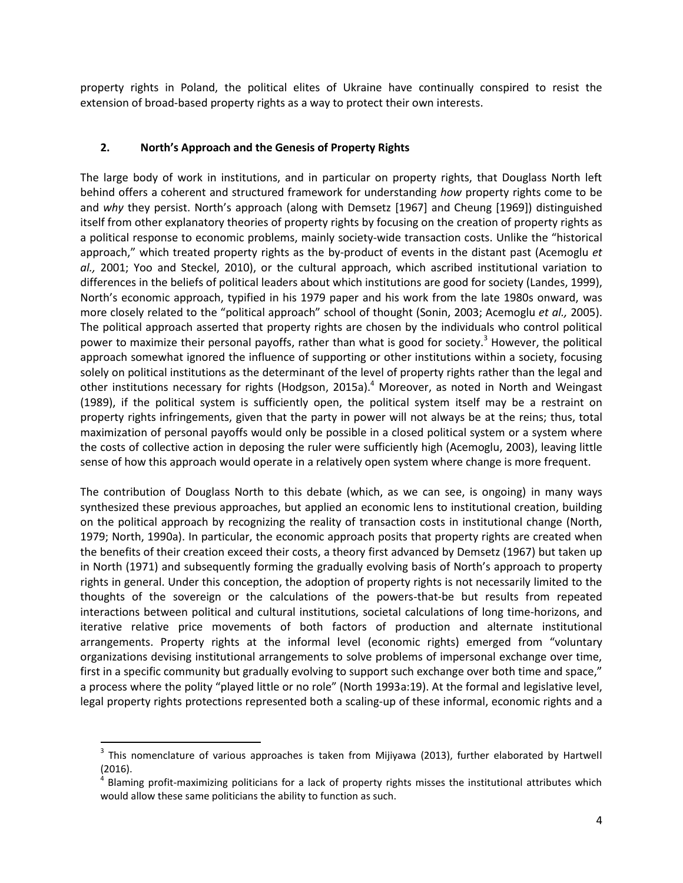property rights in Poland, the political elites of Ukraine have continually conspired to resist the extension of broad-based property rights as a way to protect their own interests.

# **2. North's Approach and the Genesis of Property Rights**

The large body of work in institutions, and in particular on property rights, that Douglass North left behind offers a coherent and structured framework for understanding *how* property rights come to be and *why* they persist. North's approach (along with Demsetz [1967] and Cheung [1969]) distinguished itself from other explanatory theories of property rights by focusing on the creation of property rights as a political response to economic problems, mainly society-wide transaction costs. Unlike the "historical approach," which treated property rights as the by-product of events in the distant past (Acemoglu *et al.,* 2001; Yoo and Steckel, 2010), or the cultural approach, which ascribed institutional variation to differences in the beliefs of political leaders about which institutions are good for society (Landes, 1999), North's economic approach, typified in his 1979 paper and his work from the late 1980s onward, was more closely related to the "political approach" school of thought (Sonin, 2003; Acemoglu *et al.,* 2005). The political approach asserted that property rights are chosen by the individuals who control political power to maximize their personal payoffs, rather than what is good for society.<sup>3</sup> However, the political approach somewhat ignored the influence of supporting or other institutions within a society, focusing solely on political institutions as the determinant of the level of property rights rather than the legal and other institutions necessary for rights (Hodgson, 2015a).<sup>4</sup> Moreover, as noted in North and Weingast (1989), if the political system is sufficiently open, the political system itself may be a restraint on property rights infringements, given that the party in power will not always be at the reins; thus, total maximization of personal payoffs would only be possible in a closed political system or a system where the costs of collective action in deposing the ruler were sufficiently high (Acemoglu, 2003), leaving little sense of how this approach would operate in a relatively open system where change is more frequent.

The contribution of Douglass North to this debate (which, as we can see, is ongoing) in many ways synthesized these previous approaches, but applied an economic lens to institutional creation, building on the political approach by recognizing the reality of transaction costs in institutional change (North, 1979; North, 1990a). In particular, the economic approach posits that property rights are created when the benefits of their creation exceed their costs, a theory first advanced by Demsetz (1967) but taken up in North (1971) and subsequently forming the gradually evolving basis of North's approach to property rights in general. Under this conception, the adoption of property rights is not necessarily limited to the thoughts of the sovereign or the calculations of the powers-that-be but results from repeated interactions between political and cultural institutions, societal calculations of long time-horizons, and iterative relative price movements of both factors of production and alternate institutional arrangements. Property rights at the informal level (economic rights) emerged from "voluntary organizations devising institutional arrangements to solve problems of impersonal exchange over time, first in a specific community but gradually evolving to support such exchange over both time and space," a process where the polity "played little or no role" (North 1993a:19). At the formal and legislative level, legal property rights protections represented both a scaling-up of these informal, economic rights and a

 $\overline{a}$ 

 $3$  This nomenclature of various approaches is taken from Mijiyawa (2013), further elaborated by Hartwell (2016).

<sup>4</sup> Blaming profit-maximizing politicians for a lack of property rights misses the institutional attributes which would allow these same politicians the ability to function as such.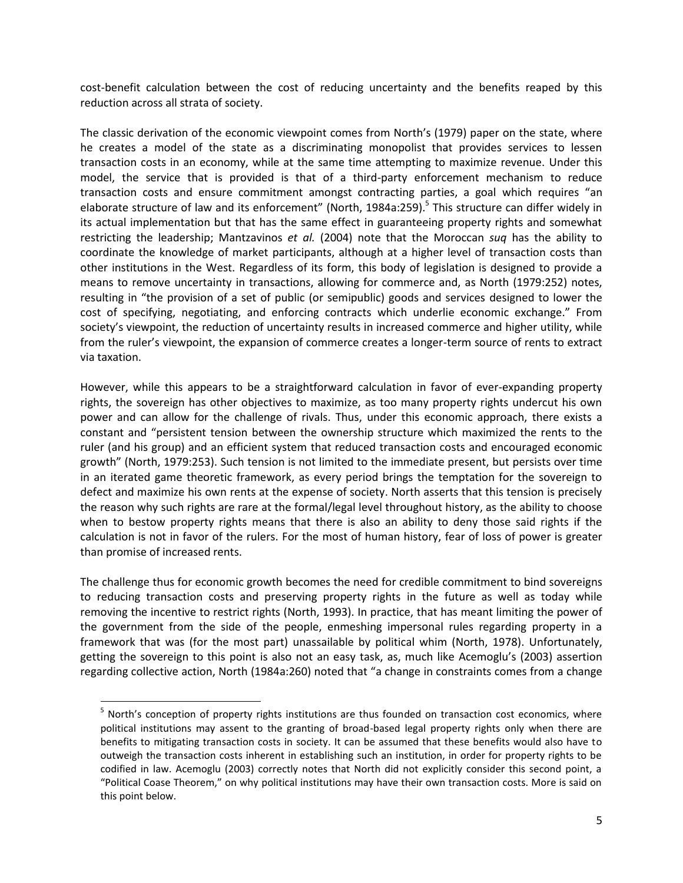cost-benefit calculation between the cost of reducing uncertainty and the benefits reaped by this reduction across all strata of society.

The classic derivation of the economic viewpoint comes from North's (1979) paper on the state, where he creates a model of the state as a discriminating monopolist that provides services to lessen transaction costs in an economy, while at the same time attempting to maximize revenue. Under this model, the service that is provided is that of a third-party enforcement mechanism to reduce transaction costs and ensure commitment amongst contracting parties, a goal which requires "an elaborate structure of law and its enforcement" (North, 1984a:259).<sup>5</sup> This structure can differ widely in its actual implementation but that has the same effect in guaranteeing property rights and somewhat restricting the leadership; Mantzavinos *et al.* (2004) note that the Moroccan *suq* has the ability to coordinate the knowledge of market participants, although at a higher level of transaction costs than other institutions in the West. Regardless of its form, this body of legislation is designed to provide a means to remove uncertainty in transactions, allowing for commerce and, as North (1979:252) notes, resulting in "the provision of a set of public (or semipublic) goods and services designed to lower the cost of specifying, negotiating, and enforcing contracts which underlie economic exchange." From society's viewpoint, the reduction of uncertainty results in increased commerce and higher utility, while from the ruler's viewpoint, the expansion of commerce creates a longer-term source of rents to extract via taxation.

However, while this appears to be a straightforward calculation in favor of ever-expanding property rights, the sovereign has other objectives to maximize, as too many property rights undercut his own power and can allow for the challenge of rivals. Thus, under this economic approach, there exists a constant and "persistent tension between the ownership structure which maximized the rents to the ruler (and his group) and an efficient system that reduced transaction costs and encouraged economic growth" (North, 1979:253). Such tension is not limited to the immediate present, but persists over time in an iterated game theoretic framework, as every period brings the temptation for the sovereign to defect and maximize his own rents at the expense of society. North asserts that this tension is precisely the reason why such rights are rare at the formal/legal level throughout history, as the ability to choose when to bestow property rights means that there is also an ability to deny those said rights if the calculation is not in favor of the rulers. For the most of human history, fear of loss of power is greater than promise of increased rents.

The challenge thus for economic growth becomes the need for credible commitment to bind sovereigns to reducing transaction costs and preserving property rights in the future as well as today while removing the incentive to restrict rights (North, 1993). In practice, that has meant limiting the power of the government from the side of the people, enmeshing impersonal rules regarding property in a framework that was (for the most part) unassailable by political whim (North, 1978). Unfortunately, getting the sovereign to this point is also not an easy task, as, much like Acemoglu's (2003) assertion regarding collective action, North (1984a:260) noted that "a change in constraints comes from a change

 $\overline{\phantom{a}}$ 

<sup>&</sup>lt;sup>5</sup> North's conception of property rights institutions are thus founded on transaction cost economics, where political institutions may assent to the granting of broad-based legal property rights only when there are benefits to mitigating transaction costs in society. It can be assumed that these benefits would also have to outweigh the transaction costs inherent in establishing such an institution, in order for property rights to be codified in law. Acemoglu (2003) correctly notes that North did not explicitly consider this second point, a "Political Coase Theorem," on why political institutions may have their own transaction costs. More is said on this point below.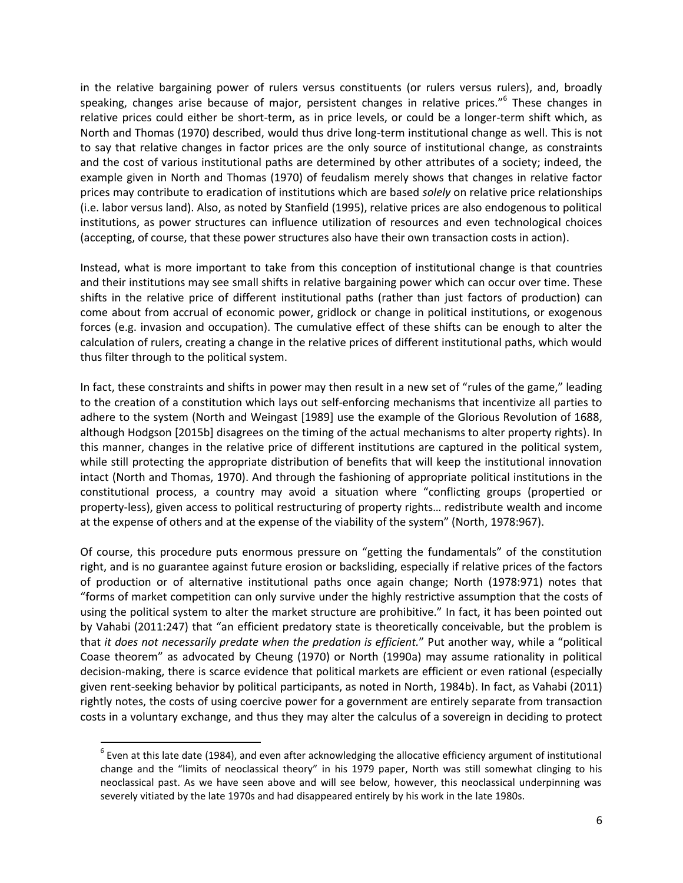in the relative bargaining power of rulers versus constituents (or rulers versus rulers), and, broadly speaking, changes arise because of major, persistent changes in relative prices."<sup>6</sup> These changes in relative prices could either be short-term, as in price levels, or could be a longer-term shift which, as North and Thomas (1970) described, would thus drive long-term institutional change as well. This is not to say that relative changes in factor prices are the only source of institutional change, as constraints and the cost of various institutional paths are determined by other attributes of a society; indeed, the example given in North and Thomas (1970) of feudalism merely shows that changes in relative factor prices may contribute to eradication of institutions which are based *solely* on relative price relationships (i.e. labor versus land). Also, as noted by Stanfield (1995), relative prices are also endogenous to political institutions, as power structures can influence utilization of resources and even technological choices (accepting, of course, that these power structures also have their own transaction costs in action).

Instead, what is more important to take from this conception of institutional change is that countries and their institutions may see small shifts in relative bargaining power which can occur over time. These shifts in the relative price of different institutional paths (rather than just factors of production) can come about from accrual of economic power, gridlock or change in political institutions, or exogenous forces (e.g. invasion and occupation). The cumulative effect of these shifts can be enough to alter the calculation of rulers, creating a change in the relative prices of different institutional paths, which would thus filter through to the political system.

In fact, these constraints and shifts in power may then result in a new set of "rules of the game," leading to the creation of a constitution which lays out self-enforcing mechanisms that incentivize all parties to adhere to the system (North and Weingast [1989] use the example of the Glorious Revolution of 1688, although Hodgson [2015b] disagrees on the timing of the actual mechanisms to alter property rights). In this manner, changes in the relative price of different institutions are captured in the political system, while still protecting the appropriate distribution of benefits that will keep the institutional innovation intact (North and Thomas, 1970). And through the fashioning of appropriate political institutions in the constitutional process, a country may avoid a situation where "conflicting groups (propertied or property-less), given access to political restructuring of property rights… redistribute wealth and income at the expense of others and at the expense of the viability of the system" (North, 1978:967).

Of course, this procedure puts enormous pressure on "getting the fundamentals" of the constitution right, and is no guarantee against future erosion or backsliding, especially if relative prices of the factors of production or of alternative institutional paths once again change; North (1978:971) notes that "forms of market competition can only survive under the highly restrictive assumption that the costs of using the political system to alter the market structure are prohibitive." In fact, it has been pointed out by Vahabi (2011:247) that "an efficient predatory state is theoretically conceivable, but the problem is that *it does not necessarily predate when the predation is efficient.*" Put another way, while a "political Coase theorem" as advocated by Cheung (1970) or North (1990a) may assume rationality in political decision-making, there is scarce evidence that political markets are efficient or even rational (especially given rent-seeking behavior by political participants, as noted in North, 1984b). In fact, as Vahabi (2011) rightly notes, the costs of using coercive power for a government are entirely separate from transaction costs in a voluntary exchange, and thus they may alter the calculus of a sovereign in deciding to protect

 $\overline{a}$ 

 $^6$  Even at this late date (1984), and even after acknowledging the allocative efficiency argument of institutional change and the "limits of neoclassical theory" in his 1979 paper, North was still somewhat clinging to his neoclassical past. As we have seen above and will see below, however, this neoclassical underpinning was severely vitiated by the late 1970s and had disappeared entirely by his work in the late 1980s.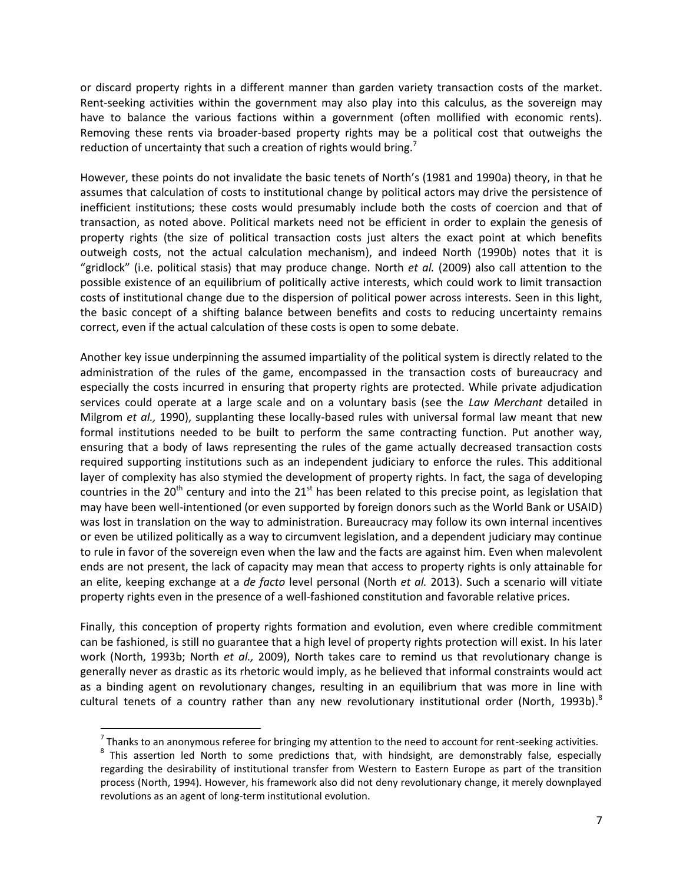or discard property rights in a different manner than garden variety transaction costs of the market. Rent-seeking activities within the government may also play into this calculus, as the sovereign may have to balance the various factions within a government (often mollified with economic rents). Removing these rents via broader-based property rights may be a political cost that outweighs the reduction of uncertainty that such a creation of rights would bring.<sup>7</sup>

However, these points do not invalidate the basic tenets of North's (1981 and 1990a) theory, in that he assumes that calculation of costs to institutional change by political actors may drive the persistence of inefficient institutions; these costs would presumably include both the costs of coercion and that of transaction, as noted above. Political markets need not be efficient in order to explain the genesis of property rights (the size of political transaction costs just alters the exact point at which benefits outweigh costs, not the actual calculation mechanism), and indeed North (1990b) notes that it is "gridlock" (i.e. political stasis) that may produce change. North *et al.* (2009) also call attention to the possible existence of an equilibrium of politically active interests, which could work to limit transaction costs of institutional change due to the dispersion of political power across interests. Seen in this light, the basic concept of a shifting balance between benefits and costs to reducing uncertainty remains correct, even if the actual calculation of these costs is open to some debate.

Another key issue underpinning the assumed impartiality of the political system is directly related to the administration of the rules of the game, encompassed in the transaction costs of bureaucracy and especially the costs incurred in ensuring that property rights are protected. While private adjudication services could operate at a large scale and on a voluntary basis (see the *Law Merchant* detailed in Milgrom *et al.,* 1990), supplanting these locally-based rules with universal formal law meant that new formal institutions needed to be built to perform the same contracting function. Put another way, ensuring that a body of laws representing the rules of the game actually decreased transaction costs required supporting institutions such as an independent judiciary to enforce the rules. This additional layer of complexity has also stymied the development of property rights. In fact, the saga of developing countries in the 20<sup>th</sup> century and into the 21<sup>st</sup> has been related to this precise point, as legislation that may have been well-intentioned (or even supported by foreign donors such as the World Bank or USAID) was lost in translation on the way to administration. Bureaucracy may follow its own internal incentives or even be utilized politically as a way to circumvent legislation, and a dependent judiciary may continue to rule in favor of the sovereign even when the law and the facts are against him. Even when malevolent ends are not present, the lack of capacity may mean that access to property rights is only attainable for an elite, keeping exchange at a *de facto* level personal (North *et al.* 2013). Such a scenario will vitiate property rights even in the presence of a well-fashioned constitution and favorable relative prices.

Finally, this conception of property rights formation and evolution, even where credible commitment can be fashioned, is still no guarantee that a high level of property rights protection will exist. In his later work (North, 1993b; North *et al.,* 2009), North takes care to remind us that revolutionary change is generally never as drastic as its rhetoric would imply, as he believed that informal constraints would act as a binding agent on revolutionary changes, resulting in an equilibrium that was more in line with cultural tenets of a country rather than any new revolutionary institutional order (North, 1993b).<sup>8</sup>

l

 $^7$  Thanks to an anonymous referee for bringing my attention to the need to account for rent-seeking activities.  $8$  This assertion led North to some predictions that, with hindsight, are demonstrably false, especially regarding the desirability of institutional transfer from Western to Eastern Europe as part of the transition process (North, 1994). However, his framework also did not deny revolutionary change, it merely downplayed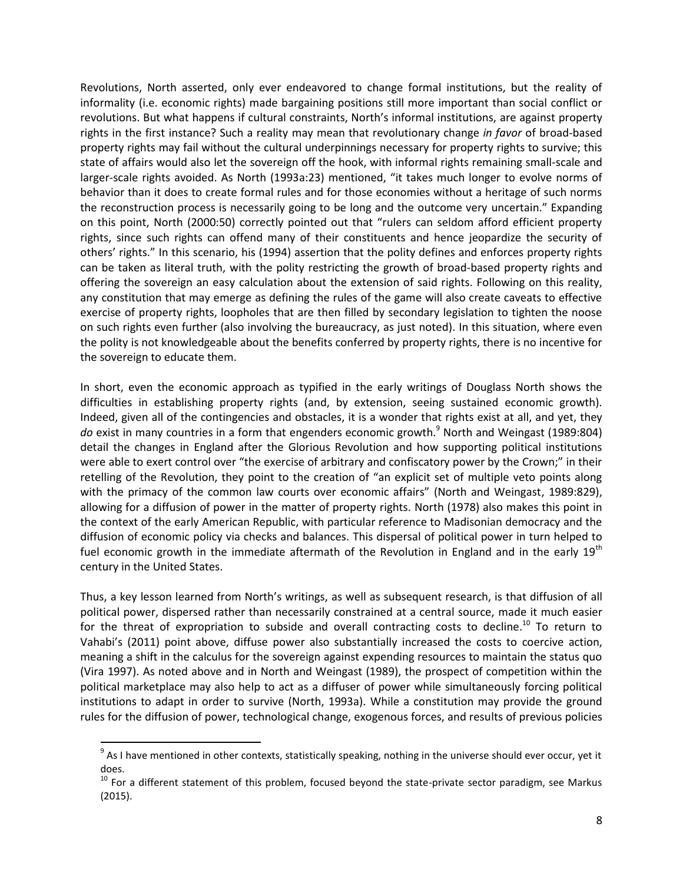Revolutions, North asserted, only ever endeavored to change formal institutions, but the reality of informality (i.e. economic rights) made bargaining positions still more important than social conflict or revolutions. But what happens if cultural constraints, North's informal institutions, are against property rights in the first instance? Such a reality may mean that revolutionary change *in favor* of broad-based property rights may fail without the cultural underpinnings necessary for property rights to survive; this state of affairs would also let the sovereign off the hook, with informal rights remaining small-scale and larger-scale rights avoided. As North (1993a:23) mentioned, "it takes much longer to evolve norms of behavior than it does to create formal rules and for those economies without a heritage of such norms the reconstruction process is necessarily going to be long and the outcome very uncertain." Expanding on this point, North (2000:50) correctly pointed out that "rulers can seldom afford efficient property rights, since such rights can offend many of their constituents and hence jeopardize the security of others' rights." In this scenario, his (1994) assertion that the polity defines and enforces property rights can be taken as literal truth, with the polity restricting the growth of broad-based property rights and offering the sovereign an easy calculation about the extension of said rights. Following on this reality, any constitution that may emerge as defining the rules of the game will also create caveats to effective exercise of property rights, loopholes that are then filled by secondary legislation to tighten the noose on such rights even further (also involving the bureaucracy, as just noted). In this situation, where even the polity is not knowledgeable about the benefits conferred by property rights, there is no incentive for the sovereign to educate them.

In short, even the economic approach as typified in the early writings of Douglass North shows the difficulties in establishing property rights (and, by extension, seeing sustained economic growth). Indeed, given all of the contingencies and obstacles, it is a wonder that rights exist at all, and yet, they do exist in many countries in a form that engenders economic growth.<sup>9</sup> North and Weingast (1989:804) detail the changes in England after the Glorious Revolution and how supporting political institutions were able to exert control over "the exercise of arbitrary and confiscatory power by the Crown;" in their retelling of the Revolution, they point to the creation of "an explicit set of multiple veto points along with the primacy of the common law courts over economic affairs" (North and Weingast, 1989:829), allowing for a diffusion of power in the matter of property rights. North (1978) also makes this point in the context of the early American Republic, with particular reference to Madisonian democracy and the diffusion of economic policy via checks and balances. This dispersal of political power in turn helped to fuel economic growth in the immediate aftermath of the Revolution in England and in the early 19<sup>th</sup> century in the United States.

Thus, a key lesson learned from North's writings, as well as subsequent research, is that diffusion of all political power, dispersed rather than necessarily constrained at a central source, made it much easier for the threat of expropriation to subside and overall contracting costs to decline.<sup>10</sup> To return to Vahabi's (2011) point above, diffuse power also substantially increased the costs to coercive action, meaning a shift in the calculus for the sovereign against expending resources to maintain the status quo (Vira 1997). As noted above and in North and Weingast (1989), the prospect of competition within the political marketplace may also help to act as a diffuser of power while simultaneously forcing political institutions to adapt in order to survive (North, 1993a). While a constitution may provide the ground rules for the diffusion of power, technological change, exogenous forces, and results of previous policies

 $\overline{a}$ 

 $^9$  As I have mentioned in other contexts, statistically speaking, nothing in the universe should ever occur, yet it does.

 $10$  For a different statement of this problem, focused beyond the state-private sector paradigm, see Markus (2015).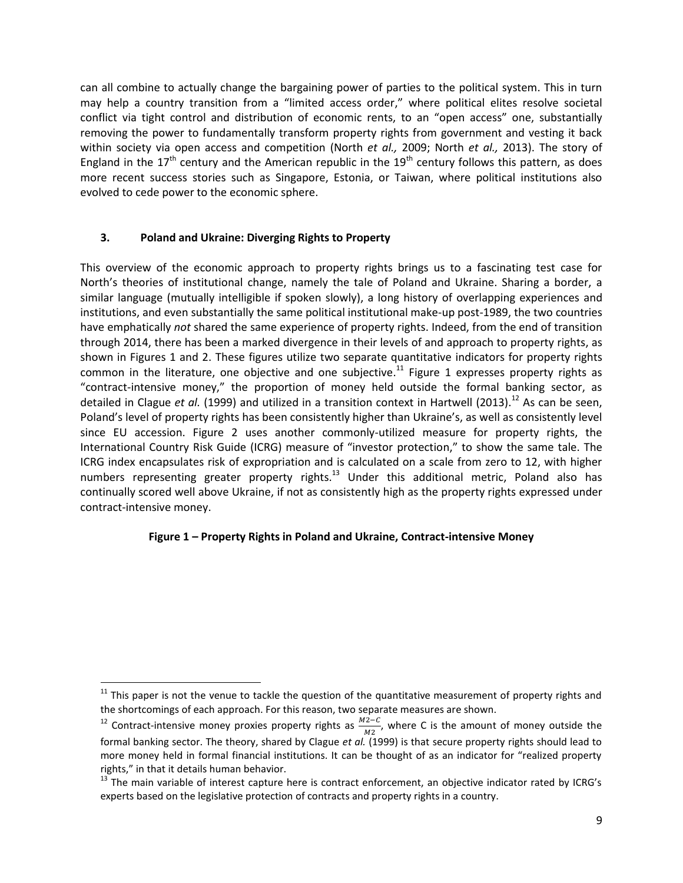can all combine to actually change the bargaining power of parties to the political system. This in turn may help a country transition from a "limited access order," where political elites resolve societal conflict via tight control and distribution of economic rents, to an "open access" one, substantially removing the power to fundamentally transform property rights from government and vesting it back within society via open access and competition (North *et al.,* 2009; North *et al.,* 2013). The story of England in the  $17<sup>th</sup>$  century and the American republic in the  $19<sup>th</sup>$  century follows this pattern, as does more recent success stories such as Singapore, Estonia, or Taiwan, where political institutions also evolved to cede power to the economic sphere.

### **3. Poland and Ukraine: Diverging Rights to Property**

 $\overline{\phantom{a}}$ 

This overview of the economic approach to property rights brings us to a fascinating test case for North's theories of institutional change, namely the tale of Poland and Ukraine. Sharing a border, a similar language (mutually intelligible if spoken slowly), a long history of overlapping experiences and institutions, and even substantially the same political institutional make-up post-1989, the two countries have emphatically *not* shared the same experience of property rights. Indeed, from the end of transition through 2014, there has been a marked divergence in their levels of and approach to property rights, as shown in Figures 1 and 2. These figures utilize two separate quantitative indicators for property rights common in the literature, one objective and one subjective. $^{11}$  Figure 1 expresses property rights as "contract-intensive money," the proportion of money held outside the formal banking sector, as detailed in Clague *et al.* (1999) and utilized in a transition context in Hartwell (2013).<sup>12</sup> As can be seen, Poland's level of property rights has been consistently higher than Ukraine's, as well as consistently level since EU accession. Figure 2 uses another commonly-utilized measure for property rights, the International Country Risk Guide (ICRG) measure of "investor protection," to show the same tale. The ICRG index encapsulates risk of expropriation and is calculated on a scale from zero to 12, with higher numbers representing greater property rights. $13$  Under this additional metric, Poland also has continually scored well above Ukraine, if not as consistently high as the property rights expressed under contract-intensive money.

# **Figure 1 – Property Rights in Poland and Ukraine, Contract-intensive Money**

 $11$  This paper is not the venue to tackle the question of the quantitative measurement of property rights and the shortcomings of each approach. For this reason, two separate measures are shown.

<sup>&</sup>lt;sup>12</sup> Contract-intensive money proxies property rights as  $\frac{M2-C}{M2}$ , where C is the amount of money outside the formal banking sector. The theory, shared by Clague *et al.* (1999) is that secure property rights should lead to more money held in formal financial institutions. It can be thought of as an indicator for "realized property rights," in that it details human behavior.

 $13$  The main variable of interest capture here is contract enforcement, an objective indicator rated by ICRG's experts based on the legislative protection of contracts and property rights in a country.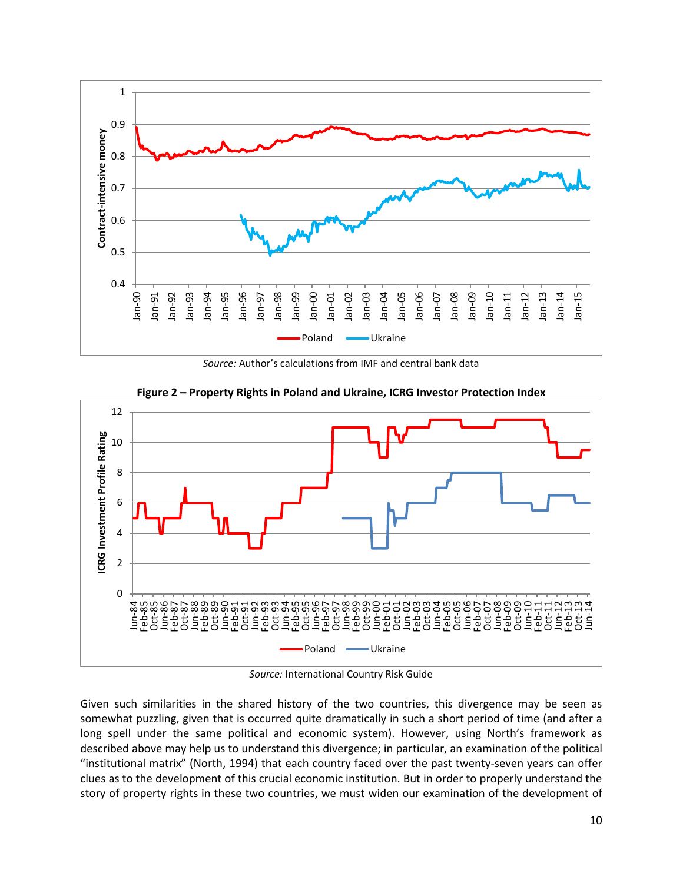

*Source:* Author's calculations from IMF and central bank data



**Figure 2 – Property Rights in Poland and Ukraine, ICRG Investor Protection Index**

*Source:* International Country Risk Guide

Given such similarities in the shared history of the two countries, this divergence may be seen as somewhat puzzling, given that is occurred quite dramatically in such a short period of time (and after a long spell under the same political and economic system). However, using North's framework as described above may help us to understand this divergence; in particular, an examination of the political "institutional matrix" (North, 1994) that each country faced over the past twenty-seven years can offer clues as to the development of this crucial economic institution. But in order to properly understand the story of property rights in these two countries, we must widen our examination of the development of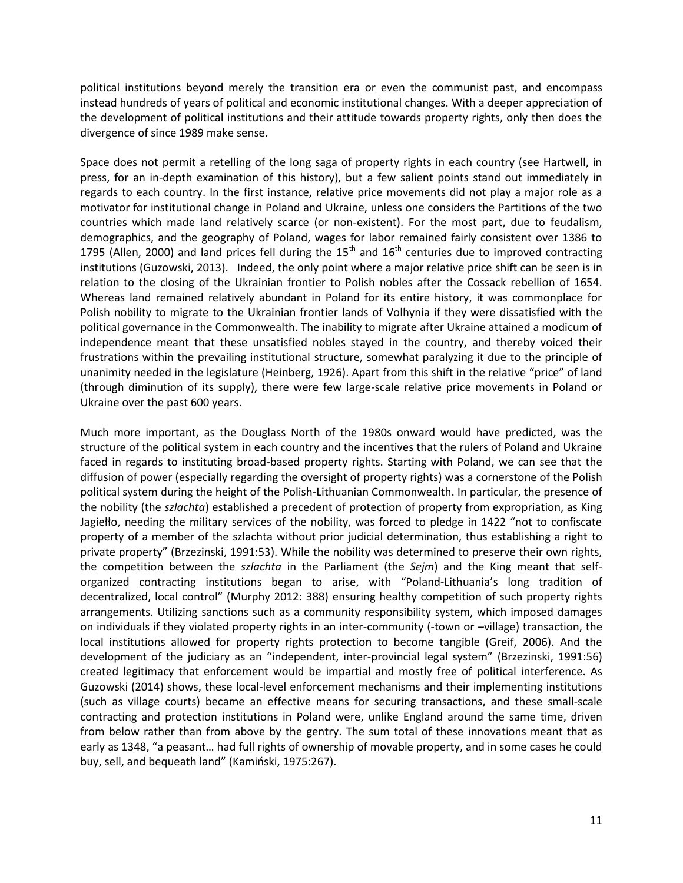political institutions beyond merely the transition era or even the communist past, and encompass instead hundreds of years of political and economic institutional changes. With a deeper appreciation of the development of political institutions and their attitude towards property rights, only then does the divergence of since 1989 make sense.

Space does not permit a retelling of the long saga of property rights in each country (see Hartwell, in press, for an in-depth examination of this history), but a few salient points stand out immediately in regards to each country. In the first instance, relative price movements did not play a major role as a motivator for institutional change in Poland and Ukraine, unless one considers the Partitions of the two countries which made land relatively scarce (or non-existent). For the most part, due to feudalism, demographics, and the geography of Poland, wages for labor remained fairly consistent over 1386 to 1795 (Allen, 2000) and land prices fell during the  $15<sup>th</sup>$  and  $16<sup>th</sup>$  centuries due to improved contracting institutions (Guzowski, 2013). Indeed, the only point where a major relative price shift can be seen is in relation to the closing of the Ukrainian frontier to Polish nobles after the Cossack rebellion of 1654. Whereas land remained relatively abundant in Poland for its entire history, it was commonplace for Polish nobility to migrate to the Ukrainian frontier lands of Volhynia if they were dissatisfied with the political governance in the Commonwealth. The inability to migrate after Ukraine attained a modicum of independence meant that these unsatisfied nobles stayed in the country, and thereby voiced their frustrations within the prevailing institutional structure, somewhat paralyzing it due to the principle of unanimity needed in the legislature (Heinberg, 1926). Apart from this shift in the relative "price" of land (through diminution of its supply), there were few large-scale relative price movements in Poland or Ukraine over the past 600 years.

Much more important, as the Douglass North of the 1980s onward would have predicted, was the structure of the political system in each country and the incentives that the rulers of Poland and Ukraine faced in regards to instituting broad-based property rights. Starting with Poland, we can see that the diffusion of power (especially regarding the oversight of property rights) was a cornerstone of the Polish political system during the height of the Polish-Lithuanian Commonwealth. In particular, the presence of the nobility (the *szlachta*) established a precedent of protection of property from expropriation, as King Jagiełło, needing the military services of the nobility, was forced to pledge in 1422 "not to confiscate property of a member of the szlachta without prior judicial determination, thus establishing a right to private property" (Brzezinski, 1991:53). While the nobility was determined to preserve their own rights, the competition between the *szlachta* in the Parliament (the *Sejm*) and the King meant that selforganized contracting institutions began to arise, with "Poland-Lithuania's long tradition of decentralized, local control" (Murphy 2012: 388) ensuring healthy competition of such property rights arrangements. Utilizing sanctions such as a community responsibility system, which imposed damages on individuals if they violated property rights in an inter-community (-town or –village) transaction, the local institutions allowed for property rights protection to become tangible (Greif, 2006). And the development of the judiciary as an "independent, inter-provincial legal system" (Brzezinski, 1991:56) created legitimacy that enforcement would be impartial and mostly free of political interference. As Guzowski (2014) shows, these local-level enforcement mechanisms and their implementing institutions (such as village courts) became an effective means for securing transactions, and these small-scale contracting and protection institutions in Poland were, unlike England around the same time, driven from below rather than from above by the gentry. The sum total of these innovations meant that as early as 1348, "a peasant… had full rights of ownership of movable property, and in some cases he could buy, sell, and bequeath land" (Kamiński, 1975:267).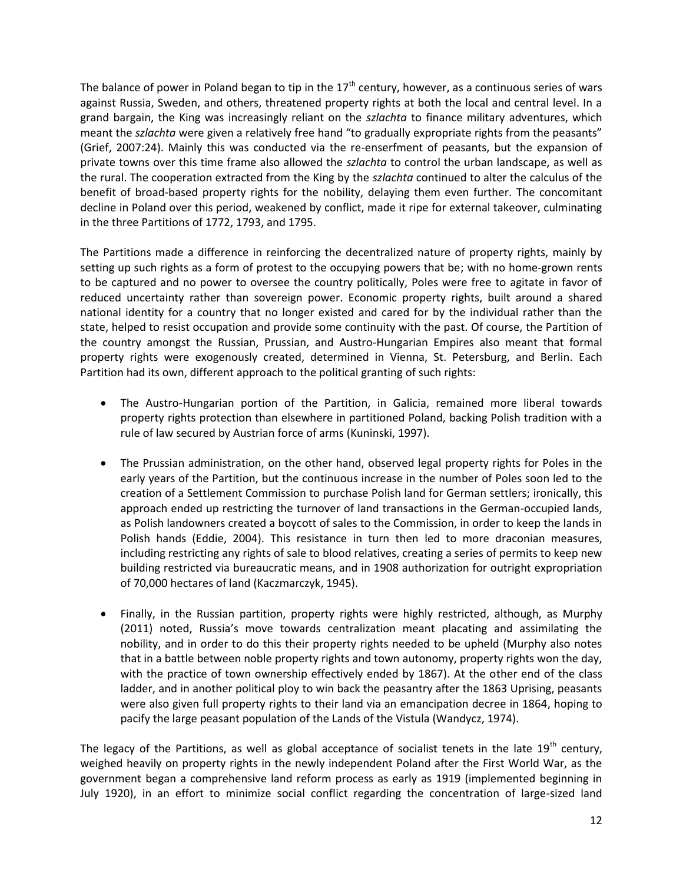The balance of power in Poland began to tip in the  $17<sup>th</sup>$  century, however, as a continuous series of wars against Russia, Sweden, and others, threatened property rights at both the local and central level. In a grand bargain, the King was increasingly reliant on the *szlachta* to finance military adventures, which meant the *szlachta* were given a relatively free hand "to gradually expropriate rights from the peasants" (Grief, 2007:24). Mainly this was conducted via the re-enserfment of peasants, but the expansion of private towns over this time frame also allowed the *szlachta* to control the urban landscape, as well as the rural. The cooperation extracted from the King by the *szlachta* continued to alter the calculus of the benefit of broad-based property rights for the nobility, delaying them even further. The concomitant decline in Poland over this period, weakened by conflict, made it ripe for external takeover, culminating in the three Partitions of 1772, 1793, and 1795.

The Partitions made a difference in reinforcing the decentralized nature of property rights, mainly by setting up such rights as a form of protest to the occupying powers that be; with no home-grown rents to be captured and no power to oversee the country politically, Poles were free to agitate in favor of reduced uncertainty rather than sovereign power. Economic property rights, built around a shared national identity for a country that no longer existed and cared for by the individual rather than the state, helped to resist occupation and provide some continuity with the past. Of course, the Partition of the country amongst the Russian, Prussian, and Austro-Hungarian Empires also meant that formal property rights were exogenously created, determined in Vienna, St. Petersburg, and Berlin. Each Partition had its own, different approach to the political granting of such rights:

- The Austro-Hungarian portion of the Partition, in Galicia, remained more liberal towards property rights protection than elsewhere in partitioned Poland, backing Polish tradition with a rule of law secured by Austrian force of arms (Kuninski, 1997).
- The Prussian administration, on the other hand, observed legal property rights for Poles in the early years of the Partition, but the continuous increase in the number of Poles soon led to the creation of a Settlement Commission to purchase Polish land for German settlers; ironically, this approach ended up restricting the turnover of land transactions in the German-occupied lands, as Polish landowners created a boycott of sales to the Commission, in order to keep the lands in Polish hands (Eddie, 2004). This resistance in turn then led to more draconian measures, including restricting any rights of sale to blood relatives, creating a series of permits to keep new building restricted via bureaucratic means, and in 1908 authorization for outright expropriation of 70,000 hectares of land (Kaczmarczyk, 1945).
- Finally, in the Russian partition, property rights were highly restricted, although, as Murphy (2011) noted, Russia's move towards centralization meant placating and assimilating the nobility, and in order to do this their property rights needed to be upheld (Murphy also notes that in a battle between noble property rights and town autonomy, property rights won the day, with the practice of town ownership effectively ended by 1867). At the other end of the class ladder, and in another political ploy to win back the peasantry after the 1863 Uprising, peasants were also given full property rights to their land via an emancipation decree in 1864, hoping to pacify the large peasant population of the Lands of the Vistula (Wandycz, 1974).

The legacy of the Partitions, as well as global acceptance of socialist tenets in the late  $19<sup>th</sup>$  century, weighed heavily on property rights in the newly independent Poland after the First World War, as the government began a comprehensive land reform process as early as 1919 (implemented beginning in July 1920), in an effort to minimize social conflict regarding the concentration of large-sized land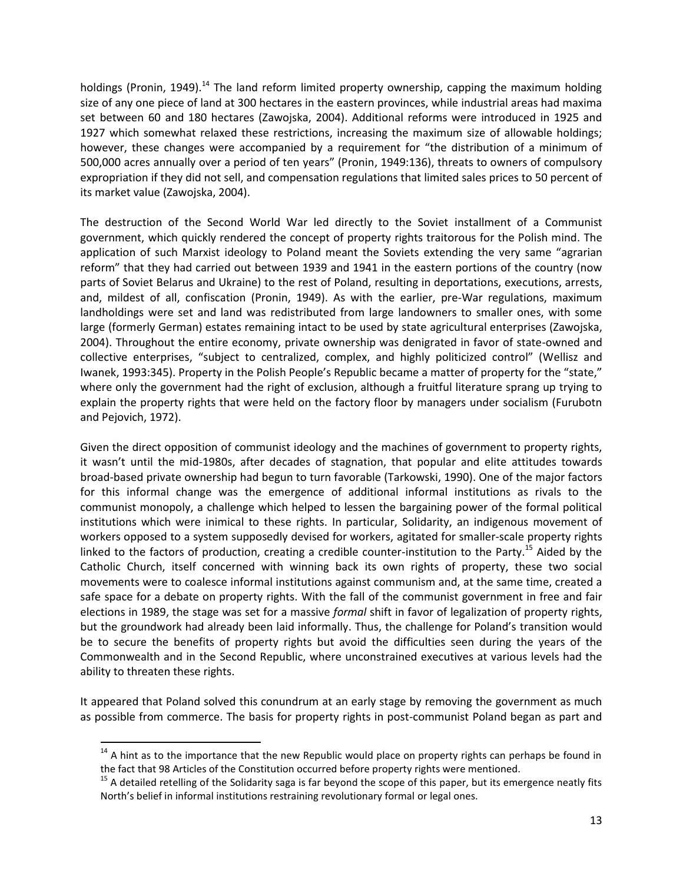holdings (Pronin, 1949).<sup>14</sup> The land reform limited property ownership, capping the maximum holding size of any one piece of land at 300 hectares in the eastern provinces, while industrial areas had maxima set between 60 and 180 hectares (Zawojska, 2004). Additional reforms were introduced in 1925 and 1927 which somewhat relaxed these restrictions, increasing the maximum size of allowable holdings; however, these changes were accompanied by a requirement for "the distribution of a minimum of 500,000 acres annually over a period of ten years" (Pronin, 1949:136), threats to owners of compulsory expropriation if they did not sell, and compensation regulations that limited sales prices to 50 percent of its market value (Zawojska, 2004).

The destruction of the Second World War led directly to the Soviet installment of a Communist government, which quickly rendered the concept of property rights traitorous for the Polish mind. The application of such Marxist ideology to Poland meant the Soviets extending the very same "agrarian reform" that they had carried out between 1939 and 1941 in the eastern portions of the country (now parts of Soviet Belarus and Ukraine) to the rest of Poland, resulting in deportations, executions, arrests, and, mildest of all, confiscation (Pronin, 1949). As with the earlier, pre-War regulations, maximum landholdings were set and land was redistributed from large landowners to smaller ones, with some large (formerly German) estates remaining intact to be used by state agricultural enterprises (Zawojska, 2004). Throughout the entire economy, private ownership was denigrated in favor of state-owned and collective enterprises, "subject to centralized, complex, and highly politicized control" (Wellisz and Iwanek, 1993:345). Property in the Polish People's Republic became a matter of property for the "state," where only the government had the right of exclusion, although a fruitful literature sprang up trying to explain the property rights that were held on the factory floor by managers under socialism (Furubotn and Pejovich, 1972).

Given the direct opposition of communist ideology and the machines of government to property rights, it wasn't until the mid-1980s, after decades of stagnation, that popular and elite attitudes towards broad-based private ownership had begun to turn favorable (Tarkowski, 1990). One of the major factors for this informal change was the emergence of additional informal institutions as rivals to the communist monopoly, a challenge which helped to lessen the bargaining power of the formal political institutions which were inimical to these rights. In particular, Solidarity, an indigenous movement of workers opposed to a system supposedly devised for workers, agitated for smaller-scale property rights linked to the factors of production, creating a credible counter-institution to the Party.<sup>15</sup> Aided by the Catholic Church, itself concerned with winning back its own rights of property, these two social movements were to coalesce informal institutions against communism and, at the same time, created a safe space for a debate on property rights. With the fall of the communist government in free and fair elections in 1989, the stage was set for a massive *formal* shift in favor of legalization of property rights, but the groundwork had already been laid informally. Thus, the challenge for Poland's transition would be to secure the benefits of property rights but avoid the difficulties seen during the years of the Commonwealth and in the Second Republic, where unconstrained executives at various levels had the ability to threaten these rights.

It appeared that Poland solved this conundrum at an early stage by removing the government as much as possible from commerce. The basis for property rights in post-communist Poland began as part and

 $\overline{a}$ 

 $14$  A hint as to the importance that the new Republic would place on property rights can perhaps be found in the fact that 98 Articles of the Constitution occurred before property rights were mentioned.

 $15$  A detailed retelling of the Solidarity saga is far beyond the scope of this paper, but its emergence neatly fits North's belief in informal institutions restraining revolutionary formal or legal ones.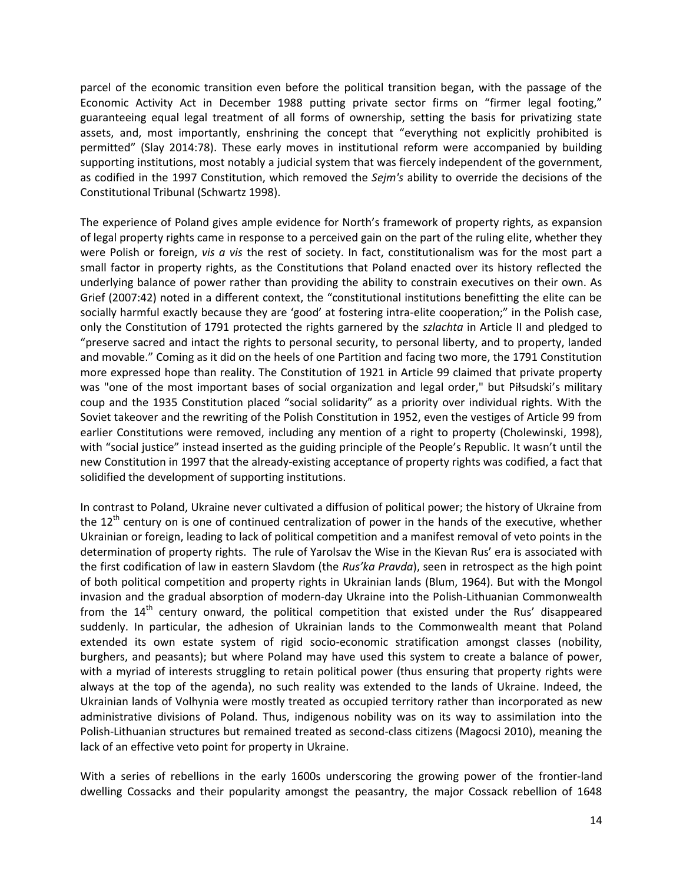parcel of the economic transition even before the political transition began, with the passage of the Economic Activity Act in December 1988 putting private sector firms on "firmer legal footing," guaranteeing equal legal treatment of all forms of ownership, setting the basis for privatizing state assets, and, most importantly, enshrining the concept that "everything not explicitly prohibited is permitted" (Slay 2014:78). These early moves in institutional reform were accompanied by building supporting institutions, most notably a judicial system that was fiercely independent of the government, as codified in the 1997 Constitution, which removed the *Sejm's* ability to override the decisions of the Constitutional Tribunal (Schwartz 1998).

The experience of Poland gives ample evidence for North's framework of property rights, as expansion of legal property rights came in response to a perceived gain on the part of the ruling elite, whether they were Polish or foreign, *vis a vis* the rest of society. In fact, constitutionalism was for the most part a small factor in property rights, as the Constitutions that Poland enacted over its history reflected the underlying balance of power rather than providing the ability to constrain executives on their own. As Grief (2007:42) noted in a different context, the "constitutional institutions benefitting the elite can be socially harmful exactly because they are 'good' at fostering intra-elite cooperation;" in the Polish case, only the Constitution of 1791 protected the rights garnered by the *szlachta* in Article II and pledged to "preserve sacred and intact the rights to personal security, to personal liberty, and to property, landed and movable." Coming as it did on the heels of one Partition and facing two more, the 1791 Constitution more expressed hope than reality. The Constitution of 1921 in Article 99 claimed that private property was "one of the most important bases of social organization and legal order," but Piłsudski's military coup and the 1935 Constitution placed "social solidarity" as a priority over individual rights. With the Soviet takeover and the rewriting of the Polish Constitution in 1952, even the vestiges of Article 99 from earlier Constitutions were removed, including any mention of a right to property (Cholewinski, 1998), with "social justice" instead inserted as the guiding principle of the People's Republic. It wasn't until the new Constitution in 1997 that the already-existing acceptance of property rights was codified, a fact that solidified the development of supporting institutions.

In contrast to Poland, Ukraine never cultivated a diffusion of political power; the history of Ukraine from the  $12<sup>th</sup>$  century on is one of continued centralization of power in the hands of the executive, whether Ukrainian or foreign, leading to lack of political competition and a manifest removal of veto points in the determination of property rights. The rule of Yarolsav the Wise in the Kievan Rus' era is associated with the first codification of law in eastern Slavdom (the *Rus'ka Pravda*), seen in retrospect as the high point of both political competition and property rights in Ukrainian lands (Blum, 1964). But with the Mongol invasion and the gradual absorption of modern-day Ukraine into the Polish-Lithuanian Commonwealth from the  $14<sup>th</sup>$  century onward, the political competition that existed under the Rus' disappeared suddenly. In particular, the adhesion of Ukrainian lands to the Commonwealth meant that Poland extended its own estate system of rigid socio-economic stratification amongst classes (nobility, burghers, and peasants); but where Poland may have used this system to create a balance of power, with a myriad of interests struggling to retain political power (thus ensuring that property rights were always at the top of the agenda), no such reality was extended to the lands of Ukraine. Indeed, the Ukrainian lands of Volhynia were mostly treated as occupied territory rather than incorporated as new administrative divisions of Poland. Thus, indigenous nobility was on its way to assimilation into the Polish-Lithuanian structures but remained treated as second-class citizens (Magocsi 2010), meaning the lack of an effective veto point for property in Ukraine.

With a series of rebellions in the early 1600s underscoring the growing power of the frontier-land dwelling Cossacks and their popularity amongst the peasantry, the major Cossack rebellion of 1648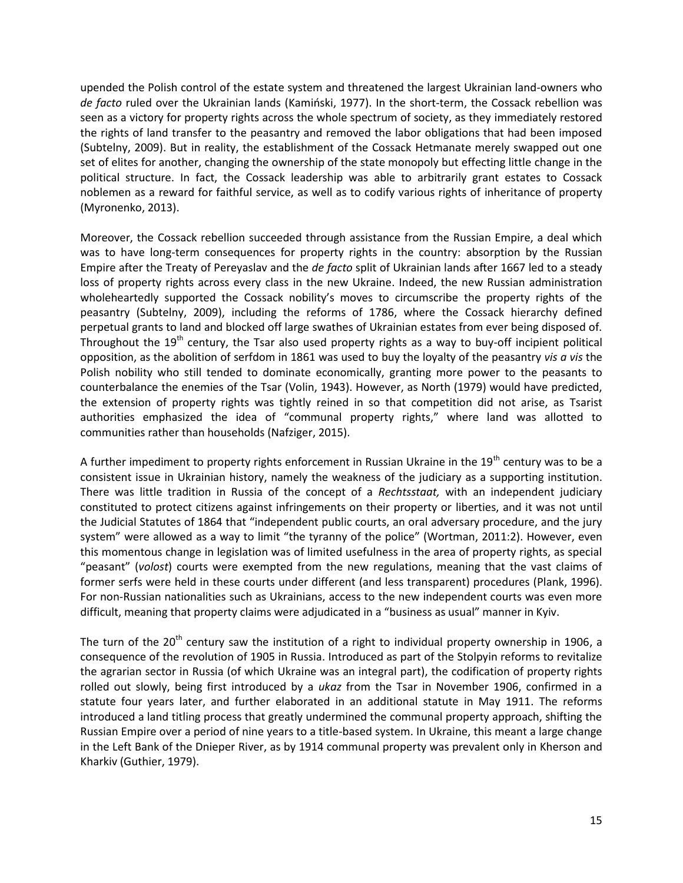upended the Polish control of the estate system and threatened the largest Ukrainian land-owners who *de facto* ruled over the Ukrainian lands (Kamiński, 1977). In the short-term, the Cossack rebellion was seen as a victory for property rights across the whole spectrum of society, as they immediately restored the rights of land transfer to the peasantry and removed the labor obligations that had been imposed (Subtelny, 2009). But in reality, the establishment of the Cossack Hetmanate merely swapped out one set of elites for another, changing the ownership of the state monopoly but effecting little change in the political structure. In fact, the Cossack leadership was able to arbitrarily grant estates to Cossack noblemen as a reward for faithful service, as well as to codify various rights of inheritance of property (Myronenko, 2013).

Moreover, the Cossack rebellion succeeded through assistance from the Russian Empire, a deal which was to have long-term consequences for property rights in the country: absorption by the Russian Empire after the Treaty of Pereyaslav and the *de facto* split of Ukrainian lands after 1667 led to a steady loss of property rights across every class in the new Ukraine. Indeed, the new Russian administration wholeheartedly supported the Cossack nobility's moves to circumscribe the property rights of the peasantry (Subtelny, 2009), including the reforms of 1786, where the Cossack hierarchy defined perpetual grants to land and blocked off large swathes of Ukrainian estates from ever being disposed of. Throughout the  $19<sup>th</sup>$  century, the Tsar also used property rights as a way to buy-off incipient political opposition, as the abolition of serfdom in 1861 was used to buy the loyalty of the peasantry *vis a vis* the Polish nobility who still tended to dominate economically, granting more power to the peasants to counterbalance the enemies of the Tsar (Volin, 1943). However, as North (1979) would have predicted, the extension of property rights was tightly reined in so that competition did not arise, as Tsarist authorities emphasized the idea of "communal property rights," where land was allotted to communities rather than households (Nafziger, 2015).

A further impediment to property rights enforcement in Russian Ukraine in the 19<sup>th</sup> century was to be a consistent issue in Ukrainian history, namely the weakness of the judiciary as a supporting institution. There was little tradition in Russia of the concept of a *Rechtsstaat,* with an independent judiciary constituted to protect citizens against infringements on their property or liberties, and it was not until the Judicial Statutes of 1864 that "independent public courts, an oral adversary procedure, and the jury system" were allowed as a way to limit "the tyranny of the police" (Wortman, 2011:2). However, even this momentous change in legislation was of limited usefulness in the area of property rights, as special "peasant" (*volost*) courts were exempted from the new regulations, meaning that the vast claims of former serfs were held in these courts under different (and less transparent) procedures (Plank, 1996). For non-Russian nationalities such as Ukrainians, access to the new independent courts was even more difficult, meaning that property claims were adjudicated in a "business as usual" manner in Kyiv.

The turn of the 20<sup>th</sup> century saw the institution of a right to individual property ownership in 1906, a consequence of the revolution of 1905 in Russia. Introduced as part of the Stolpyin reforms to revitalize the agrarian sector in Russia (of which Ukraine was an integral part), the codification of property rights rolled out slowly, being first introduced by a *ukaz* from the Tsar in November 1906, confirmed in a statute four years later, and further elaborated in an additional statute in May 1911. The reforms introduced a land titling process that greatly undermined the communal property approach, shifting the Russian Empire over a period of nine years to a title-based system. In Ukraine, this meant a large change in the Left Bank of the Dnieper River, as by 1914 communal property was prevalent only in Kherson and Kharkiv (Guthier, 1979).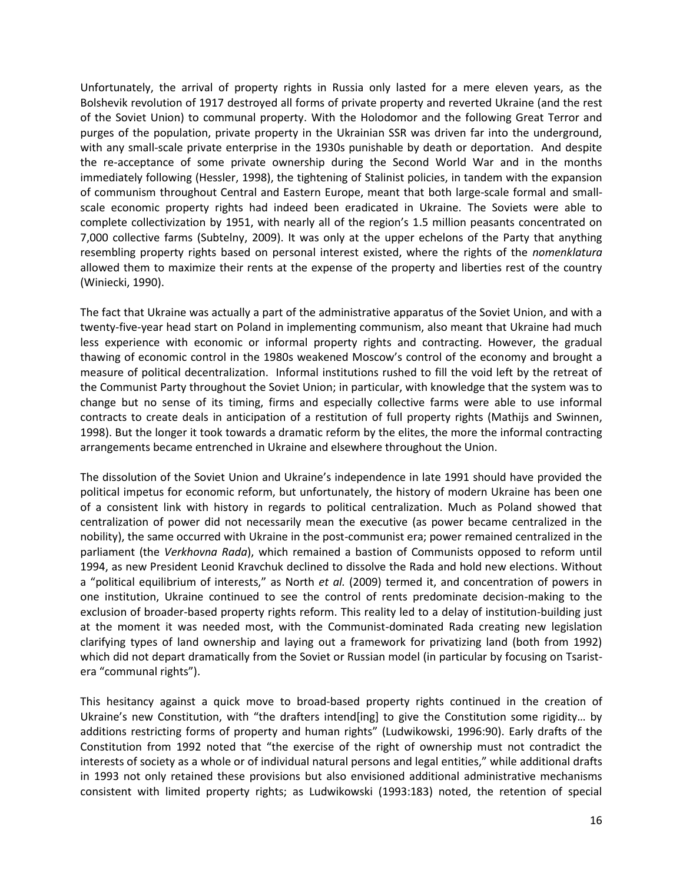Unfortunately, the arrival of property rights in Russia only lasted for a mere eleven years, as the Bolshevik revolution of 1917 destroyed all forms of private property and reverted Ukraine (and the rest of the Soviet Union) to communal property. With the Holodomor and the following Great Terror and purges of the population, private property in the Ukrainian SSR was driven far into the underground, with any small-scale private enterprise in the 1930s punishable by death or deportation. And despite the re-acceptance of some private ownership during the Second World War and in the months immediately following (Hessler, 1998), the tightening of Stalinist policies, in tandem with the expansion of communism throughout Central and Eastern Europe, meant that both large-scale formal and smallscale economic property rights had indeed been eradicated in Ukraine. The Soviets were able to complete collectivization by 1951, with nearly all of the region's 1.5 million peasants concentrated on 7,000 collective farms (Subtelny, 2009). It was only at the upper echelons of the Party that anything resembling property rights based on personal interest existed, where the rights of the *nomenklatura*  allowed them to maximize their rents at the expense of the property and liberties rest of the country (Winiecki, 1990).

The fact that Ukraine was actually a part of the administrative apparatus of the Soviet Union, and with a twenty-five-year head start on Poland in implementing communism, also meant that Ukraine had much less experience with economic or informal property rights and contracting. However, the gradual thawing of economic control in the 1980s weakened Moscow's control of the economy and brought a measure of political decentralization. Informal institutions rushed to fill the void left by the retreat of the Communist Party throughout the Soviet Union; in particular, with knowledge that the system was to change but no sense of its timing, firms and especially collective farms were able to use informal contracts to create deals in anticipation of a restitution of full property rights (Mathijs and Swinnen, 1998). But the longer it took towards a dramatic reform by the elites, the more the informal contracting arrangements became entrenched in Ukraine and elsewhere throughout the Union.

The dissolution of the Soviet Union and Ukraine's independence in late 1991 should have provided the political impetus for economic reform, but unfortunately, the history of modern Ukraine has been one of a consistent link with history in regards to political centralization. Much as Poland showed that centralization of power did not necessarily mean the executive (as power became centralized in the nobility), the same occurred with Ukraine in the post-communist era; power remained centralized in the parliament (the *Verkhovna Rada*), which remained a bastion of Communists opposed to reform until 1994, as new President Leonid Kravchuk declined to dissolve the Rada and hold new elections. Without a "political equilibrium of interests," as North *et al.* (2009) termed it, and concentration of powers in one institution, Ukraine continued to see the control of rents predominate decision-making to the exclusion of broader-based property rights reform. This reality led to a delay of institution-building just at the moment it was needed most, with the Communist-dominated Rada creating new legislation clarifying types of land ownership and laying out a framework for privatizing land (both from 1992) which did not depart dramatically from the Soviet or Russian model (in particular by focusing on Tsaristera "communal rights").

This hesitancy against a quick move to broad-based property rights continued in the creation of Ukraine's new Constitution, with "the drafters intend[ing] to give the Constitution some rigidity… by additions restricting forms of property and human rights" (Ludwikowski, 1996:90). Early drafts of the Constitution from 1992 noted that "the exercise of the right of ownership must not contradict the interests of society as a whole or of individual natural persons and legal entities," while additional drafts in 1993 not only retained these provisions but also envisioned additional administrative mechanisms consistent with limited property rights; as Ludwikowski (1993:183) noted, the retention of special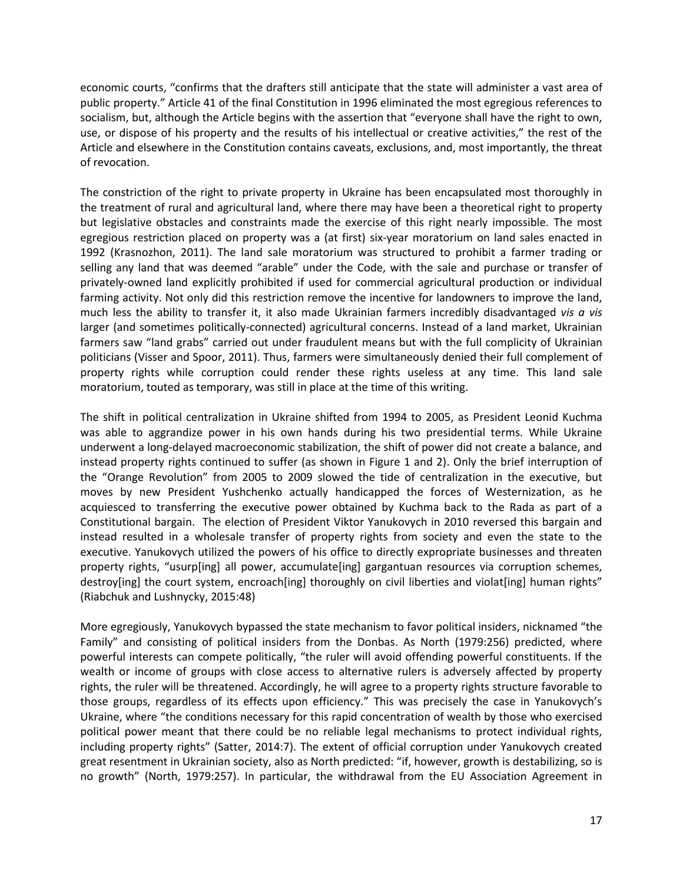economic courts, "confirms that the drafters still anticipate that the state will administer a vast area of public property." Article 41 of the final Constitution in 1996 eliminated the most egregious references to socialism, but, although the Article begins with the assertion that "everyone shall have the right to own, use, or dispose of his property and the results of his intellectual or creative activities," the rest of the Article and elsewhere in the Constitution contains caveats, exclusions, and, most importantly, the threat of revocation.

The constriction of the right to private property in Ukraine has been encapsulated most thoroughly in the treatment of rural and agricultural land, where there may have been a theoretical right to property but legislative obstacles and constraints made the exercise of this right nearly impossible. The most egregious restriction placed on property was a (at first) six-year moratorium on land sales enacted in 1992 (Krasnozhon, 2011). The land sale moratorium was structured to prohibit a farmer trading or selling any land that was deemed "arable" under the Code, with the sale and purchase or transfer of privately-owned land explicitly prohibited if used for commercial agricultural production or individual farming activity. Not only did this restriction remove the incentive for landowners to improve the land, much less the ability to transfer it, it also made Ukrainian farmers incredibly disadvantaged *vis a vis*  larger (and sometimes politically-connected) agricultural concerns. Instead of a land market, Ukrainian farmers saw "land grabs" carried out under fraudulent means but with the full complicity of Ukrainian politicians (Visser and Spoor, 2011). Thus, farmers were simultaneously denied their full complement of property rights while corruption could render these rights useless at any time. This land sale moratorium, touted as temporary, was still in place at the time of this writing.

The shift in political centralization in Ukraine shifted from 1994 to 2005, as President Leonid Kuchma was able to aggrandize power in his own hands during his two presidential terms. While Ukraine underwent a long-delayed macroeconomic stabilization, the shift of power did not create a balance, and instead property rights continued to suffer (as shown in Figure 1 and 2). Only the brief interruption of the "Orange Revolution" from 2005 to 2009 slowed the tide of centralization in the executive, but moves by new President Yushchenko actually handicapped the forces of Westernization, as he acquiesced to transferring the executive power obtained by Kuchma back to the Rada as part of a Constitutional bargain. The election of President Viktor Yanukovych in 2010 reversed this bargain and instead resulted in a wholesale transfer of property rights from society and even the state to the executive. Yanukovych utilized the powers of his office to directly expropriate businesses and threaten property rights, "usurp[ing] all power, accumulate[ing] gargantuan resources via corruption schemes, destroy[ing] the court system, encroach[ing] thoroughly on civil liberties and violat[ing] human rights" (Riabchuk and Lushnycky, 2015:48)

More egregiously, Yanukovych bypassed the state mechanism to favor political insiders, nicknamed "the Family" and consisting of political insiders from the Donbas. As North (1979:256) predicted, where powerful interests can compete politically, "the ruler will avoid offending powerful constituents. If the wealth or income of groups with close access to alternative rulers is adversely affected by property rights, the ruler will be threatened. Accordingly, he will agree to a property rights structure favorable to those groups, regardless of its effects upon efficiency." This was precisely the case in Yanukovych's Ukraine, where "the conditions necessary for this rapid concentration of wealth by those who exercised political power meant that there could be no reliable legal mechanisms to protect individual rights, including property rights" (Satter, 2014:7). The extent of official corruption under Yanukovych created great resentment in Ukrainian society, also as North predicted: "if, however, growth is destabilizing, so is no growth" (North, 1979:257). In particular, the withdrawal from the EU Association Agreement in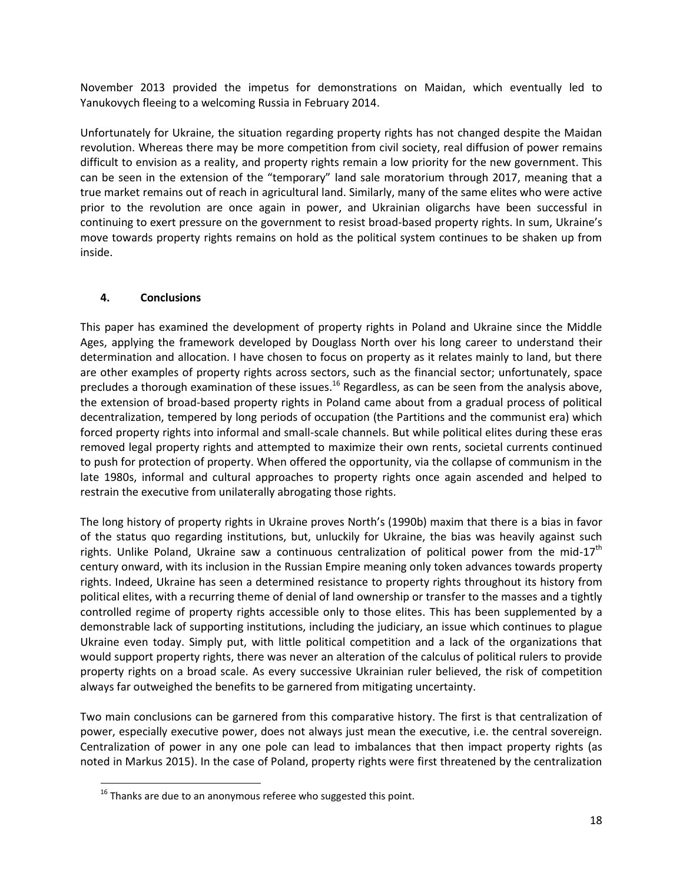November 2013 provided the impetus for demonstrations on Maidan, which eventually led to Yanukovych fleeing to a welcoming Russia in February 2014.

Unfortunately for Ukraine, the situation regarding property rights has not changed despite the Maidan revolution. Whereas there may be more competition from civil society, real diffusion of power remains difficult to envision as a reality, and property rights remain a low priority for the new government. This can be seen in the extension of the "temporary" land sale moratorium through 2017, meaning that a true market remains out of reach in agricultural land. Similarly, many of the same elites who were active prior to the revolution are once again in power, and Ukrainian oligarchs have been successful in continuing to exert pressure on the government to resist broad-based property rights. In sum, Ukraine's move towards property rights remains on hold as the political system continues to be shaken up from inside.

# **4. Conclusions**

 $\overline{\phantom{a}}$ 

This paper has examined the development of property rights in Poland and Ukraine since the Middle Ages, applying the framework developed by Douglass North over his long career to understand their determination and allocation. I have chosen to focus on property as it relates mainly to land, but there are other examples of property rights across sectors, such as the financial sector; unfortunately, space precludes a thorough examination of these issues.<sup>16</sup> Regardless, as can be seen from the analysis above, the extension of broad-based property rights in Poland came about from a gradual process of political decentralization, tempered by long periods of occupation (the Partitions and the communist era) which forced property rights into informal and small-scale channels. But while political elites during these eras removed legal property rights and attempted to maximize their own rents, societal currents continued to push for protection of property. When offered the opportunity, via the collapse of communism in the late 1980s, informal and cultural approaches to property rights once again ascended and helped to restrain the executive from unilaterally abrogating those rights.

The long history of property rights in Ukraine proves North's (1990b) maxim that there is a bias in favor of the status quo regarding institutions, but, unluckily for Ukraine, the bias was heavily against such rights. Unlike Poland, Ukraine saw a continuous centralization of political power from the mid-17<sup>th</sup> century onward, with its inclusion in the Russian Empire meaning only token advances towards property rights. Indeed, Ukraine has seen a determined resistance to property rights throughout its history from political elites, with a recurring theme of denial of land ownership or transfer to the masses and a tightly controlled regime of property rights accessible only to those elites. This has been supplemented by a demonstrable lack of supporting institutions, including the judiciary, an issue which continues to plague Ukraine even today. Simply put, with little political competition and a lack of the organizations that would support property rights, there was never an alteration of the calculus of political rulers to provide property rights on a broad scale. As every successive Ukrainian ruler believed, the risk of competition always far outweighed the benefits to be garnered from mitigating uncertainty.

Two main conclusions can be garnered from this comparative history. The first is that centralization of power, especially executive power, does not always just mean the executive, i.e. the central sovereign. Centralization of power in any one pole can lead to imbalances that then impact property rights (as noted in Markus 2015). In the case of Poland, property rights were first threatened by the centralization

 $16$  Thanks are due to an anonymous referee who suggested this point.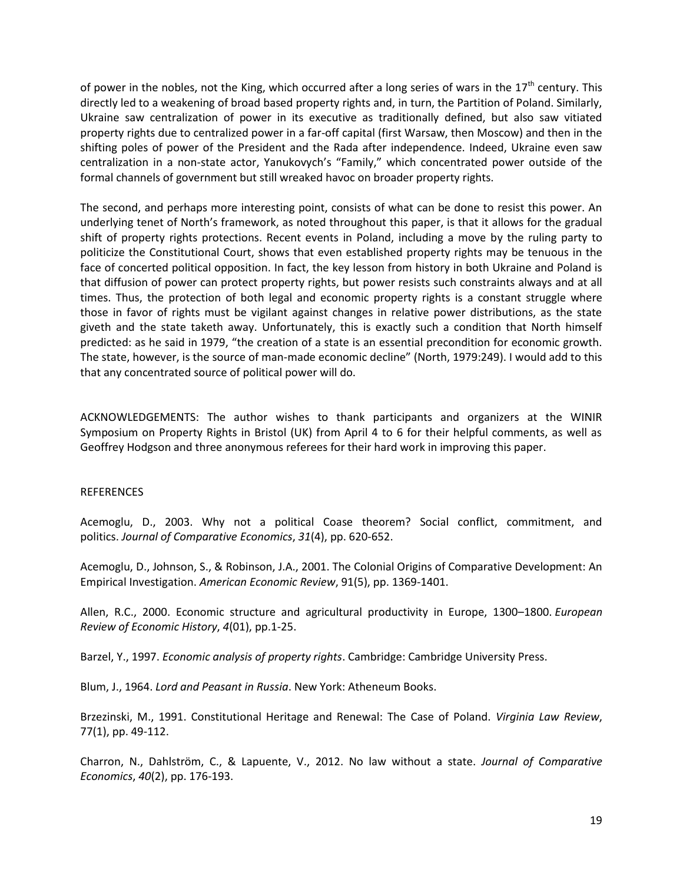of power in the nobles, not the King, which occurred after a long series of wars in the  $17<sup>th</sup>$  century. This directly led to a weakening of broad based property rights and, in turn, the Partition of Poland. Similarly, Ukraine saw centralization of power in its executive as traditionally defined, but also saw vitiated property rights due to centralized power in a far-off capital (first Warsaw, then Moscow) and then in the shifting poles of power of the President and the Rada after independence. Indeed, Ukraine even saw centralization in a non-state actor, Yanukovych's "Family," which concentrated power outside of the formal channels of government but still wreaked havoc on broader property rights.

The second, and perhaps more interesting point, consists of what can be done to resist this power. An underlying tenet of North's framework, as noted throughout this paper, is that it allows for the gradual shift of property rights protections. Recent events in Poland, including a move by the ruling party to politicize the Constitutional Court, shows that even established property rights may be tenuous in the face of concerted political opposition. In fact, the key lesson from history in both Ukraine and Poland is that diffusion of power can protect property rights, but power resists such constraints always and at all times. Thus, the protection of both legal and economic property rights is a constant struggle where those in favor of rights must be vigilant against changes in relative power distributions, as the state giveth and the state taketh away. Unfortunately, this is exactly such a condition that North himself predicted: as he said in 1979, "the creation of a state is an essential precondition for economic growth. The state, however, is the source of man-made economic decline" (North, 1979:249). I would add to this that any concentrated source of political power will do.

ACKNOWLEDGEMENTS: The author wishes to thank participants and organizers at the WINIR Symposium on Property Rights in Bristol (UK) from April 4 to 6 for their helpful comments, as well as Geoffrey Hodgson and three anonymous referees for their hard work in improving this paper.

#### **REFERENCES**

Acemoglu, D., 2003. Why not a political Coase theorem? Social conflict, commitment, and politics. *Journal of Comparative Economics*, *31*(4), pp. 620-652.

Acemoglu, D., Johnson, S., & Robinson, J.A., 2001. The Colonial Origins of Comparative Development: An Empirical Investigation. *American Economic Review*, 91(5), pp. 1369-1401.

Allen, R.C., 2000. Economic structure and agricultural productivity in Europe, 1300–1800. *European Review of Economic History*, *4*(01), pp.1-25.

Barzel, Y., 1997. *Economic analysis of property rights*. Cambridge: Cambridge University Press.

Blum, J., 1964. *Lord and Peasant in Russia*. New York: Atheneum Books.

Brzezinski, M., 1991. Constitutional Heritage and Renewal: The Case of Poland. *Virginia Law Review*, 77(1), pp. 49-112.

Charron, N., Dahlström, C., & Lapuente, V., 2012. No law without a state. *Journal of Comparative Economics*, *40*(2), pp. 176-193.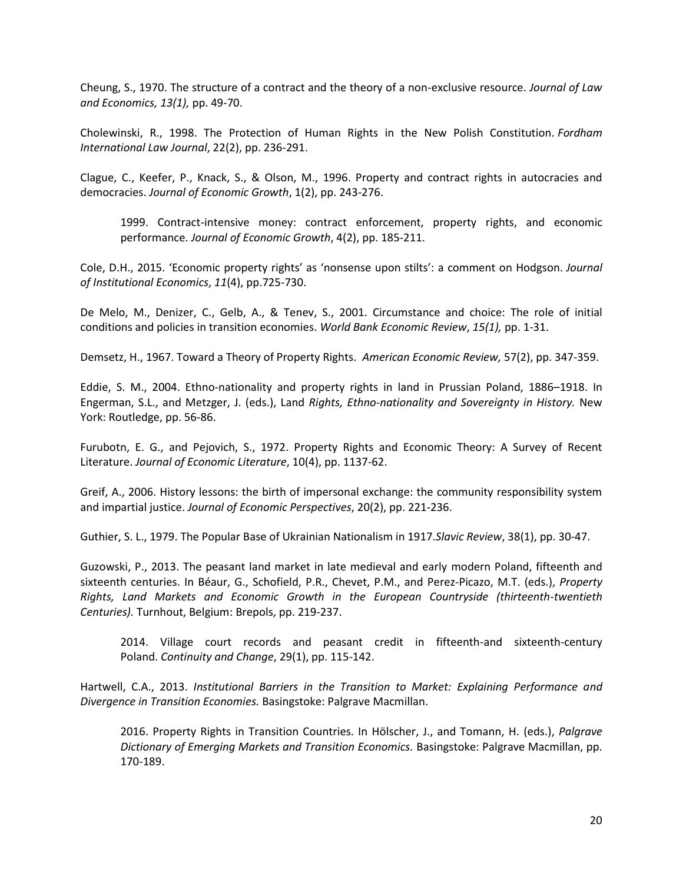Cheung, S., 1970. The structure of a contract and the theory of a non-exclusive resource. *Journal of Law and Economics, 13(1),* pp. 49-70.

Cholewinski, R., 1998. The Protection of Human Rights in the New Polish Constitution. *Fordham International Law Journal*, 22(2), pp. 236-291.

Clague, C., Keefer, P., Knack, S., & Olson, M., 1996. Property and contract rights in autocracies and democracies. *Journal of Economic Growth*, 1(2), pp. 243-276.

1999. Contract-intensive money: contract enforcement, property rights, and economic performance. *Journal of Economic Growth*, 4(2), pp. 185-211.

Cole, D.H., 2015. 'Economic property rights' as 'nonsense upon stilts': a comment on Hodgson. *Journal of Institutional Economics*, *11*(4), pp.725-730.

De Melo, M., Denizer, C., Gelb, A., & Tenev, S., 2001. Circumstance and choice: The role of initial conditions and policies in transition economies. *World Bank Economic Review*, *15(1),* pp. 1-31.

Demsetz, H., 1967. Toward a Theory of Property Rights. *American Economic Review,* 57(2), pp. 347-359.

Eddie, S. M., 2004. Ethno-nationality and property rights in land in Prussian Poland, 1886–1918. In Engerman, S.L., and Metzger, J. (eds.), Land *Rights, Ethno-nationality and Sovereignty in History.* New York: Routledge, pp. 56-86.

Furubotn, E. G., and Pejovich, S., 1972. Property Rights and Economic Theory: A Survey of Recent Literature. *Journal of Economic Literature*, 10(4), pp. 1137-62.

Greif, A., 2006. History lessons: the birth of impersonal exchange: the community responsibility system and impartial justice. *Journal of Economic Perspectives*, 20(2), pp. 221-236.

Guthier, S. L., 1979. The Popular Base of Ukrainian Nationalism in 1917.*Slavic Review*, 38(1), pp. 30-47.

Guzowski, P., 2013. The peasant land market in late medieval and early modern Poland, fifteenth and sixteenth centuries. In Béaur, G., Schofield, P.R., Chevet, P.M., and Perez-Picazo, M.T. (eds.), *Property Rights, Land Markets and Economic Growth in the European Countryside (thirteenth-twentieth Centuries).* Turnhout, Belgium: Brepols, pp. 219-237.

2014. Village court records and peasant credit in fifteenth-and sixteenth-century Poland. *Continuity and Change*, 29(1), pp. 115-142.

Hartwell, C.A., 2013. *Institutional Barriers in the Transition to Market: Explaining Performance and Divergence in Transition Economies.* Basingstoke: Palgrave Macmillan.

2016. Property Rights in Transition Countries. In Hölscher, J., and Tomann, H. (eds.), *Palgrave Dictionary of Emerging Markets and Transition Economics.* Basingstoke: Palgrave Macmillan, pp. 170-189.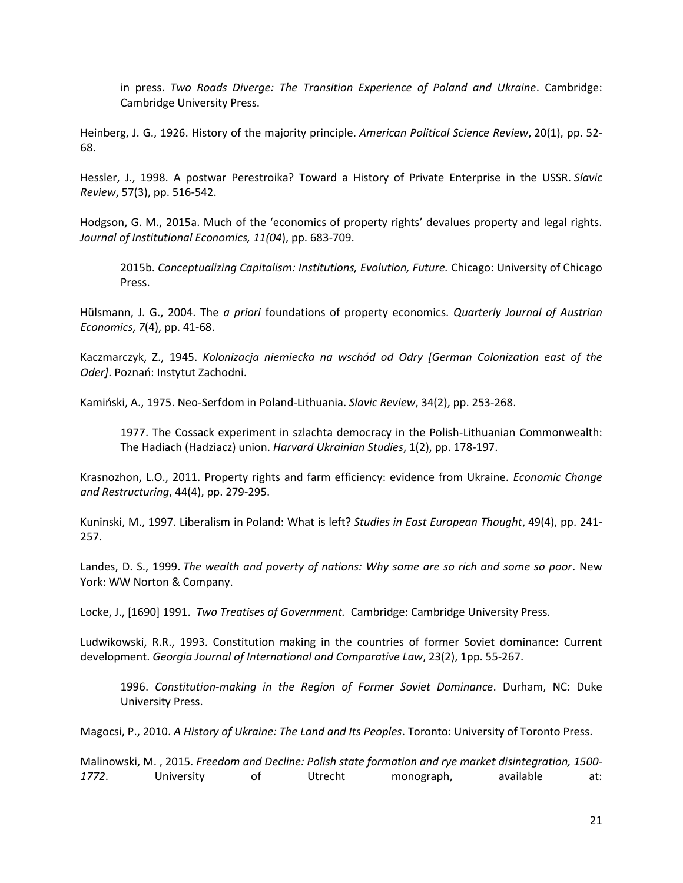in press. *Two Roads Diverge: The Transition Experience of Poland and Ukraine*. Cambridge: Cambridge University Press.

Heinberg, J. G., 1926. History of the majority principle. *American Political Science Review*, 20(1), pp. 52- 68.

Hessler, J., 1998. A postwar Perestroika? Toward a History of Private Enterprise in the USSR. *Slavic Review*, 57(3), pp. 516-542.

Hodgson, G. M., 2015a. Much of the 'economics of property rights' devalues property and legal rights. *Journal of Institutional Economics, 11(04*), pp. 683-709.

2015b. *Conceptualizing Capitalism: Institutions, Evolution, Future.* Chicago: University of Chicago Press.

Hülsmann, J. G., 2004. The *a priori* foundations of property economics. *Quarterly Journal of Austrian Economics*, *7*(4), pp. 41-68.

Kaczmarczyk, Z., 1945. *Kolonizacja niemiecka na wschód od Odry [German Colonization east of the Oder]*. Poznań: Instytut Zachodni.

Kamiński, A., 1975. Neo-Serfdom in Poland-Lithuania. *Slavic Review*, 34(2), pp. 253-268.

1977. The Cossack experiment in szlachta democracy in the Polish-Lithuanian Commonwealth: The Hadiach (Hadziacz) union. *Harvard Ukrainian Studies*, 1(2), pp. 178-197.

Krasnozhon, L.O., 2011. Property rights and farm efficiency: evidence from Ukraine. *Economic Change and Restructuring*, 44(4), pp. 279-295.

Kuninski, M., 1997. Liberalism in Poland: What is left? *Studies in East European Thought*, 49(4), pp. 241- 257.

Landes, D. S., 1999. *The wealth and poverty of nations: Why some are so rich and some so poor*. New York: WW Norton & Company.

Locke, J., [1690] 1991. *Two Treatises of Government.* Cambridge: Cambridge University Press.

Ludwikowski, R.R., 1993. Constitution making in the countries of former Soviet dominance: Current development. *Georgia Journal of International and Comparative Law*, 23(2), 1pp. 55-267.

1996. *Constitution-making in the Region of Former Soviet Dominance*. Durham, NC: Duke University Press.

Magocsi, P., 2010. *A History of Ukraine: The Land and Its Peoples*. Toronto: University of Toronto Press.

Malinowski, M. , 2015. *Freedom and Decline: Polish state formation and rye market disintegration, 1500- 1772*. University of Utrecht monograph, available at: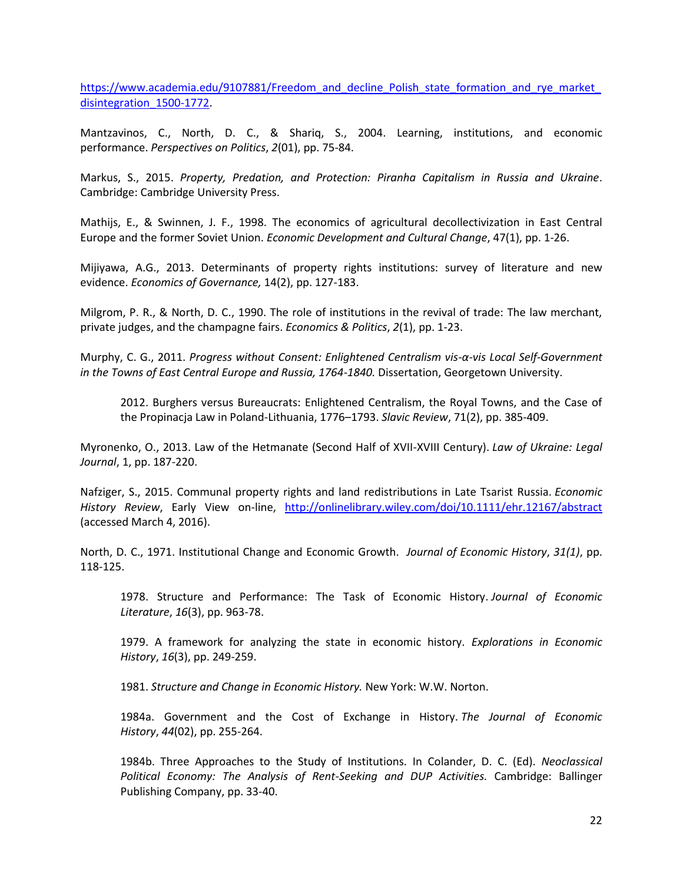https://www.academia.edu/9107881/Freedom\_and\_decline\_Polish\_state\_formation\_and\_rye\_market [disintegration\\_1500-1772.](https://www.academia.edu/9107881/Freedom_and_decline_Polish_state_formation_and_rye_market_disintegration_1500-1772)

Mantzavinos, C., North, D. C., & Shariq, S., 2004. Learning, institutions, and economic performance. *Perspectives on Politics*, *2*(01), pp. 75-84.

Markus, S., 2015. *Property, Predation, and Protection: Piranha Capitalism in Russia and Ukraine*. Cambridge: Cambridge University Press.

Mathijs, E., & Swinnen, J. F., 1998. The economics of agricultural decollectivization in East Central Europe and the former Soviet Union. *Economic Development and Cultural Change*, 47(1), pp. 1-26.

Mijiyawa, A.G., 2013. Determinants of property rights institutions: survey of literature and new evidence. *Economics of Governance,* 14(2), pp. 127-183.

Milgrom, P. R., & North, D. C., 1990. The role of institutions in the revival of trade: The law merchant, private judges, and the champagne fairs. *Economics & Politics*, *2*(1), pp. 1-23.

Murphy, C. G., 2011. *Progress without Consent: Enlightened Centralism vis-α-vis Local Self-Government*  in the Towns of East Central Europe and Russia, 1764-1840. Dissertation, Georgetown University.

2012. Burghers versus Bureaucrats: Enlightened Centralism, the Royal Towns, and the Case of the Propinacja Law in Poland-Lithuania, 1776–1793. *Slavic Review*, 71(2), pp. 385-409.

Myronenko, O., 2013. Law of the Hetmanate (Second Half of XVII-XVIII Century). *Law of Ukraine: Legal Journal*, 1, pp. 187-220.

Nafziger, S., 2015. Communal property rights and land redistributions in Late Tsarist Russia. *Economic History Review*, Early View on-line, <http://onlinelibrary.wiley.com/doi/10.1111/ehr.12167/abstract> (accessed March 4, 2016).

North, D. C., 1971. Institutional Change and Economic Growth. *Journal of Economic History*, *31(1)*, pp. 118-125.

1978. Structure and Performance: The Task of Economic History. *Journal of Economic Literature*, *16*(3), pp. 963-78.

1979. A framework for analyzing the state in economic history. *Explorations in Economic History*, *16*(3), pp. 249-259.

1981. *Structure and Change in Economic History.* New York: W.W. Norton.

1984a. Government and the Cost of Exchange in History. *The Journal of Economic History*, *44*(02), pp. 255-264.

1984b. Three Approaches to the Study of Institutions. In Colander, D. C. (Ed). *Neoclassical Political Economy: The Analysis of Rent-Seeking and DUP Activities.* Cambridge: Ballinger Publishing Company, pp. 33-40.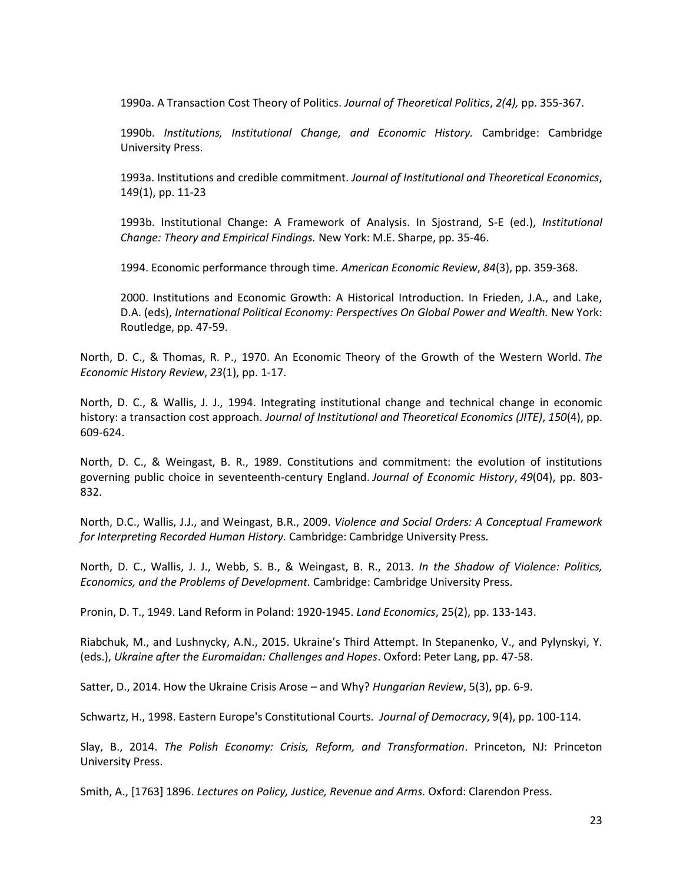1990a. A Transaction Cost Theory of Politics. *Journal of Theoretical Politics*, *2(4),* pp. 355-367.

1990b. *Institutions, Institutional Change, and Economic History.* Cambridge: Cambridge University Press.

1993a. Institutions and credible commitment. *Journal of Institutional and Theoretical Economics*, 149(1), pp. 11-23

1993b. Institutional Change: A Framework of Analysis. In Sjostrand, S-E (ed.), *Institutional Change: Theory and Empirical Findings.* New York: M.E. Sharpe, pp. 35-46.

1994. Economic performance through time. *American Economic Review*, *84*(3), pp. 359-368.

2000. Institutions and Economic Growth: A Historical Introduction. In Frieden, J.A., and Lake, D.A. (eds), *International Political Economy: Perspectives On Global Power and Wealth.* New York: Routledge, pp. 47-59.

North, D. C., & Thomas, R. P., 1970. An Economic Theory of the Growth of the Western World. *The Economic History Review*, *23*(1), pp. 1-17.

North, D. C., & Wallis, J. J., 1994. Integrating institutional change and technical change in economic history: a transaction cost approach. *Journal of Institutional and Theoretical Economics (JITE)*, *150*(4), pp. 609-624.

North, D. C., & Weingast, B. R., 1989. Constitutions and commitment: the evolution of institutions governing public choice in seventeenth-century England. *Journal of Economic History*, *49*(04), pp. 803- 832.

North, D.C., Wallis, J.J., and Weingast, B.R., 2009. *Violence and Social Orders: A Conceptual Framework for Interpreting Recorded Human History.* Cambridge: Cambridge University Press.

North, D. C., Wallis, J. J., Webb, S. B., & Weingast, B. R., 2013. *In the Shadow of Violence: Politics, Economics, and the Problems of Development.* Cambridge: Cambridge University Press.

Pronin, D. T., 1949. Land Reform in Poland: 1920-1945. *Land Economics*, 25(2), pp. 133-143.

Riabchuk, M., and Lushnycky, A.N., 2015. Ukraine's Third Attempt. In Stepanenko, V., and Pylynskyi, Y. (eds.), *Ukraine after the Euromaidan: Challenges and Hopes*. Oxford: Peter Lang, pp. 47-58.

Satter, D., 2014. How the Ukraine Crisis Arose – and Why? *Hungarian Review*, 5(3), pp. 6-9.

Schwartz, H., 1998. Eastern Europe's Constitutional Courts. *Journal of Democracy*, 9(4), pp. 100-114.

Slay, B., 2014. *The Polish Economy: Crisis, Reform, and Transformation*. Princeton, NJ: Princeton University Press.

Smith, A., [1763] 1896. *Lectures on Policy, Justice, Revenue and Arms.* Oxford: Clarendon Press.